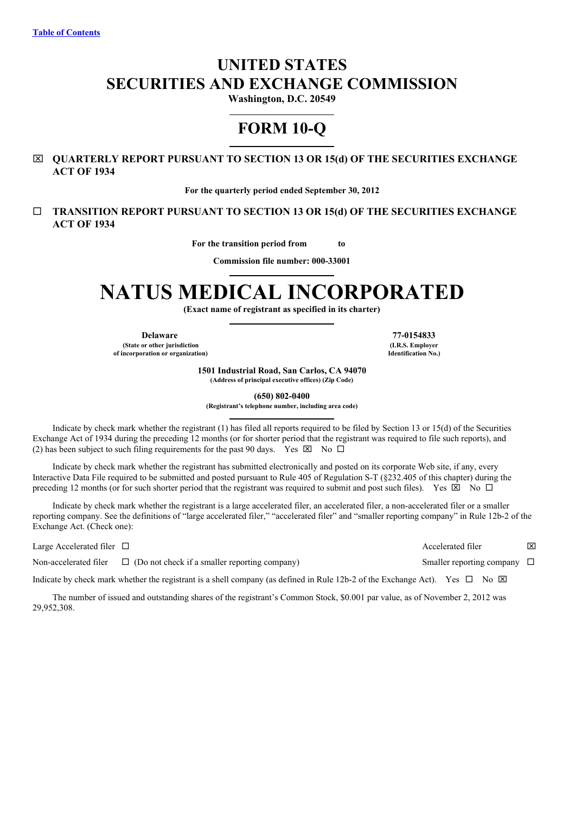# <span id="page-0-0"></span>**UNITED STATES SECURITIES AND EXCHANGE COMMISSION**

**Washington, D.C. 20549**

# **FORM 10-Q**

# x **QUARTERLY REPORT PURSUANT TO SECTION 13 OR 15(d) OF THE SECURITIES EXCHANGE ACT OF 1934**

**For the quarterly period ended September 30, 2012**

¨ **TRANSITION REPORT PURSUANT TO SECTION 13 OR 15(d) OF THE SECURITIES EXCHANGE ACT OF 1934**

**For the transition period from to**

**Commission file number: 000-33001**

# **NATUS MEDICAL INCORPORATED**

**(Exact name of registrant as specified in its charter)**

**Delaware 77-0154833 (State or other jurisdiction of incorporation or organization)**

**(I.R.S. Employer Identification No.)**

**1501 Industrial Road, San Carlos, CA 94070 (Address of principal executive offices) (Zip Code)**

**(650) 802-0400**

**(Registrant's telephone number, including area code)**

Indicate by check mark whether the registrant (1) has filed all reports required to be filed by Section 13 or 15(d) of the Securities Exchange Act of 1934 during the preceding 12 months (or for shorter period that the registrant was required to file such reports), and (2) has been subject to such filing requirements for the past 90 days. Yes  $\boxtimes$  No  $\Box$ 

Indicate by check mark whether the registrant has submitted electronically and posted on its corporate Web site, if any, every Interactive Data File required to be submitted and posted pursuant to Rule 405 of Regulation S-T (§232.405 of this chapter) during the preceding 12 months (or for such shorter period that the registrant was required to submit and post such files). Yes  $\boxtimes$  No  $\Box$ 

Indicate by check mark whether the registrant is a large accelerated filer, an accelerated filer, a non-accelerated filer or a smaller reporting company. See the definitions of "large accelerated filer," "accelerated filer" and "smaller reporting company" in Rule 12b-2 of the Exchange Act. (Check one):

Large Accelerated filer  $\Box$ 

Non-accelerated filer  $\Box$  (Do not check if a smaller reporting company) Smaller reporting company  $\Box$ 

Indicate by check mark whether the registrant is a shell company (as defined in Rule 12b-2 of the Exchange Act). Yes  $\Box$  No  $\boxtimes$ 

The number of issued and outstanding shares of the registrant's Common Stock, \$0.001 par value, as of November 2, 2012 was 29,952,308.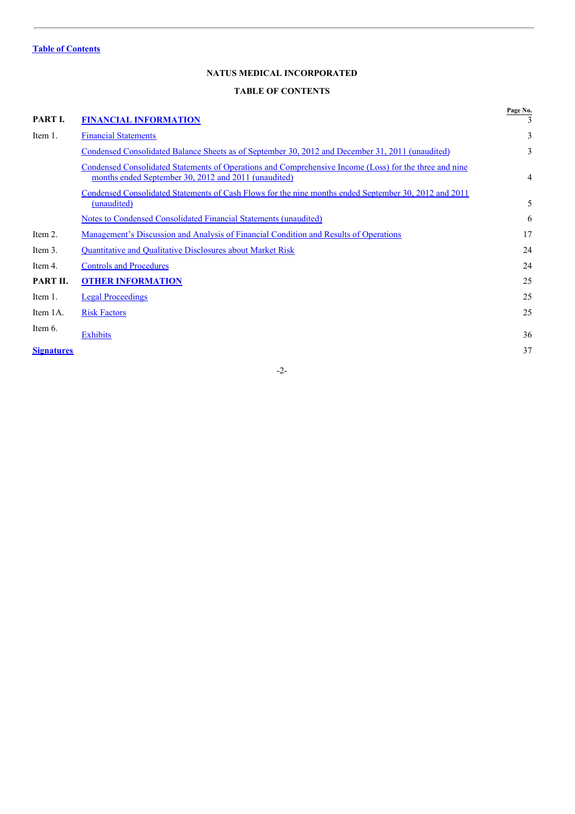# **NATUS MEDICAL INCORPORATED**

# **TABLE OF CONTENTS**

| PART I.           | <b>FINANCIAL INFORMATION</b>                                                                                                                                   | Page No.<br>3 |
|-------------------|----------------------------------------------------------------------------------------------------------------------------------------------------------------|---------------|
| Item 1.           | <b>Financial Statements</b>                                                                                                                                    | 3             |
|                   | Condensed Consolidated Balance Sheets as of September 30, 2012 and December 31, 2011 (unaudited)                                                               | 3             |
|                   | Condensed Consolidated Statements of Operations and Comprehensive Income (Loss) for the three and nine<br>months ended September 30, 2012 and 2011 (unaudited) | 4             |
|                   | Condensed Consolidated Statements of Cash Flows for the nine months ended September 30, 2012 and 2011<br>(unaudited)                                           | 5             |
|                   | <b>Notes to Condensed Consolidated Financial Statements (unaudited)</b>                                                                                        | 6             |
| Item 2.           | Management's Discussion and Analysis of Financial Condition and Results of Operations                                                                          | 17            |
| Item 3.           | Quantitative and Qualitative Disclosures about Market Risk                                                                                                     | 24            |
| Item 4.           | <b>Controls and Procedures</b>                                                                                                                                 | 24            |
| PART II.          | <b>OTHER INFORMATION</b>                                                                                                                                       | 25            |
| Item 1.           | <b>Legal Proceedings</b>                                                                                                                                       | 25            |
| Item 1A.          | <b>Risk Factors</b>                                                                                                                                            | 25            |
| Item 6.           | <b>Exhibits</b>                                                                                                                                                | 36            |
| <b>Signatures</b> |                                                                                                                                                                | 37            |

-2-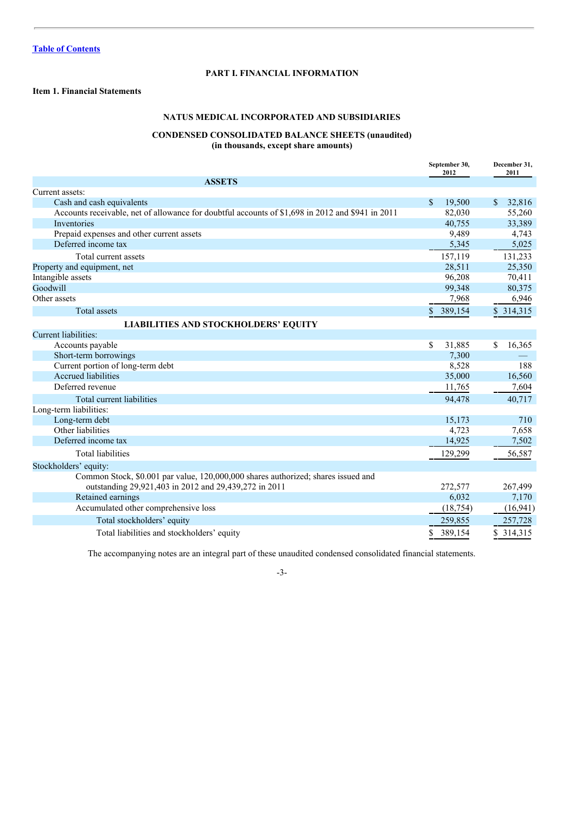### **PART I. FINANCIAL INFORMATION**

# **Item 1. Financial Statements**

# **NATUS MEDICAL INCORPORATED AND SUBSIDIARIES**

# **CONDENSED CONSOLIDATED BALANCE SHEETS (unaudited)**

**(in thousands, except share amounts)**

|                                                                                                  | September 30,<br>2012  | December 31,<br>2011   |
|--------------------------------------------------------------------------------------------------|------------------------|------------------------|
| <b>ASSETS</b>                                                                                    |                        |                        |
| Current assets:                                                                                  |                        |                        |
| Cash and cash equivalents                                                                        | $\mathbb{S}$<br>19,500 | $\mathbb{S}$<br>32,816 |
| Accounts receivable, net of allowance for doubtful accounts of \$1,698 in 2012 and \$941 in 2011 | 82,030                 | 55,260                 |
| Inventories                                                                                      | 40,755                 | 33,389                 |
| Prepaid expenses and other current assets                                                        | 9,489                  | 4,743                  |
| Deferred income tax                                                                              | 5,345                  | 5,025                  |
| Total current assets                                                                             | 157,119                | 131,233                |
| Property and equipment, net                                                                      | 28,511                 | 25,350                 |
| Intangible assets                                                                                | 96,208                 | 70,411                 |
| Goodwill                                                                                         | 99,348                 | 80,375                 |
| Other assets                                                                                     | 7,968                  | 6,946                  |
| <b>Total</b> assets                                                                              | 389,154<br>\$          | \$ 314,315             |
| <b>LIABILITIES AND STOCKHOLDERS' EQUITY</b>                                                      |                        |                        |
| Current liabilities:                                                                             |                        |                        |
| Accounts payable                                                                                 | \$<br>31,885           | \$<br>16,365           |
| Short-term borrowings                                                                            | 7,300                  |                        |
| Current portion of long-term debt                                                                | 8,528                  | 188                    |
| Accrued liabilities                                                                              | 35,000                 | 16,560                 |
| Deferred revenue                                                                                 | 11,765                 | 7,604                  |
| Total current liabilities                                                                        | 94,478                 | 40,717                 |
| Long-term liabilities:                                                                           |                        |                        |
| Long-term debt                                                                                   | 15,173                 | 710                    |
| Other liabilities                                                                                | 4,723                  | 7,658                  |
| Deferred income tax                                                                              | 14,925                 | 7,502                  |
| <b>Total liabilities</b>                                                                         | 129,299                | 56,587                 |
| Stockholders' equity:                                                                            |                        |                        |
| Common Stock, \$0.001 par value, 120,000,000 shares authorized; shares issued and                |                        |                        |
| outstanding 29,921,403 in 2012 and 29,439,272 in 2011                                            | 272,577                | 267,499                |
| Retained earnings                                                                                | 6,032                  | 7,170                  |
| Accumulated other comprehensive loss                                                             | (18, 754)              | (16, 941)              |
| Total stockholders' equity                                                                       | 259,855                | 257,728                |
| Total liabilities and stockholders' equity                                                       | 389.154<br>\$.         | \$ 314,315             |

The accompanying notes are an integral part of these unaudited condensed consolidated financial statements.

-3-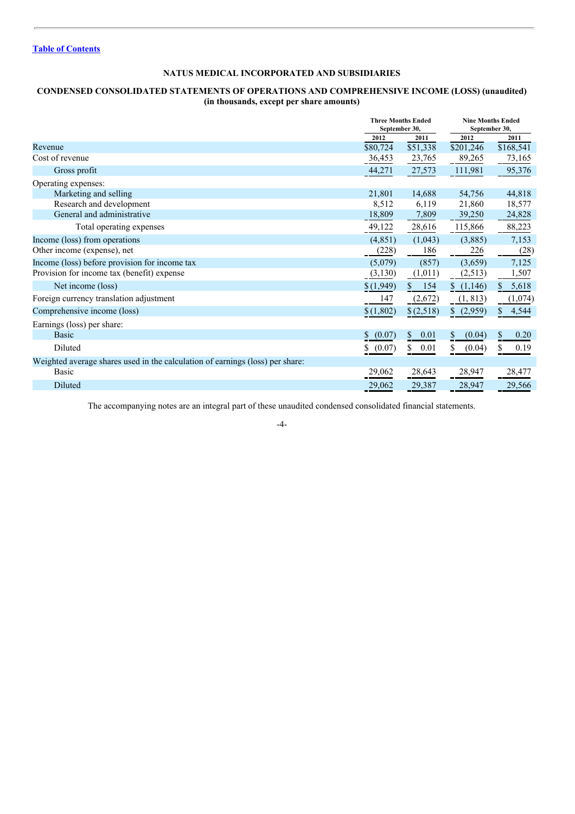# **NATUS MEDICAL INCORPORATED AND SUBSIDIARIES**

### **CONDENSED CONSOLIDATED STATEMENTS OF OPERATIONS AND COMPREHENSIVE INCOME (LOSS) (unaudited) (in thousands, except per share amounts)**

|                                                                               |                         | <b>Three Months Ended</b><br>September 30, |              | <b>Nine Months Ended</b><br>September 30, |
|-------------------------------------------------------------------------------|-------------------------|--------------------------------------------|--------------|-------------------------------------------|
|                                                                               | 2012                    | 2011                                       | 2012         | 2011                                      |
| Revenue                                                                       | \$80,724                | \$51,338                                   | \$201,246    | \$168,541                                 |
| Cost of revenue                                                               | 36,453                  | 23,765                                     | 89,265       | 73,165                                    |
| Gross profit                                                                  | 44,271                  | 27,573                                     | 111,981      | 95,376                                    |
| Operating expenses:                                                           |                         |                                            |              |                                           |
| Marketing and selling                                                         | 21,801                  | 14,688                                     | 54,756       | 44,818                                    |
| Research and development                                                      | 8,512                   | 6,119                                      | 21,860       | 18,577                                    |
| General and administrative                                                    | 18,809                  | 7,809                                      | 39,250       | 24,828                                    |
| Total operating expenses                                                      | 49,122                  | 28,616                                     | 115,866      | 88,223                                    |
| Income (loss) from operations                                                 | (4, 851)                | (1,043)                                    | (3,885)      | 7,153                                     |
| Other income (expense), net                                                   | (228)                   | 186                                        | 226          | (28)                                      |
| Income (loss) before provision for income tax                                 | (5,079)                 | (857)                                      | (3,659)      | 7,125                                     |
| Provision for income tax (benefit) expense                                    | (3,130)                 | (1,011)                                    | (2,513)      | 1,507                                     |
| Net income (loss)                                                             | \$(1,949)               | 154<br>\$                                  | (1,146)      | 5,618<br>$\mathbb{S}$                     |
| Foreign currency translation adjustment                                       | 147                     | (2,672)                                    | (1, 813)     | (1,074)                                   |
| Comprehensive income (loss)                                                   | \$(1,802)               | \$(2,518)                                  | (2,959)      | 4,544<br>\$                               |
| Earnings (loss) per share:                                                    |                         |                                            |              |                                           |
| <b>Basic</b>                                                                  | (0.07)<br><sup>\$</sup> | 0.01<br>S.                                 | \$<br>(0.04) | \$<br>0.20                                |
| Diluted                                                                       | S<br>(0.07)             | \$<br>0.01                                 | \$<br>(0.04) | \$<br>0.19                                |
| Weighted average shares used in the calculation of earnings (loss) per share: |                         |                                            |              |                                           |
| <b>Basic</b>                                                                  | 29,062                  | 28,643                                     | 28,947       | 28,477                                    |
| Diluted                                                                       | 29,062                  | 29,387                                     | 28,947       | 29,566                                    |

The accompanying notes are an integral part of these unaudited condensed consolidated financial statements.

### -4-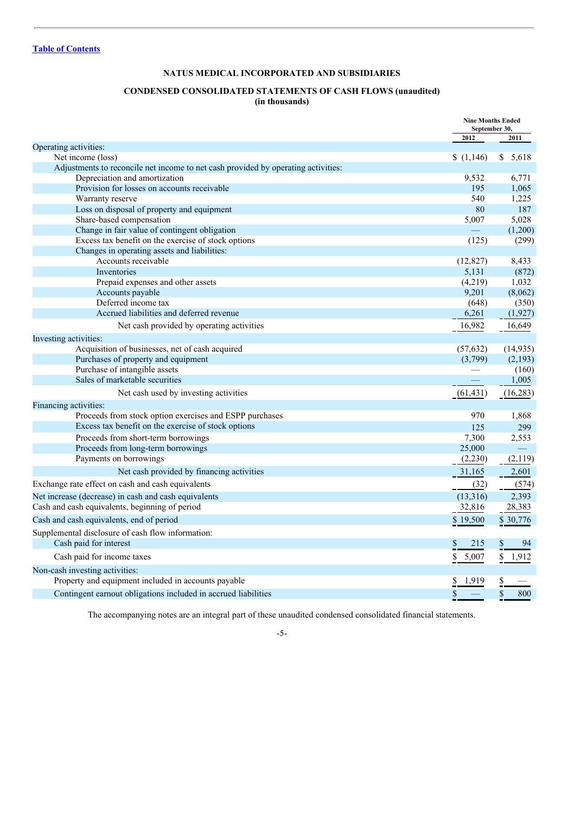# **NATUS MEDICAL INCORPORATED AND SUBSIDIARIES**

# **CONDENSED CONSOLIDATED STATEMENTS OF CASH FLOWS (unaudited) (in thousands)**

|                                                                                   | <b>Nine Months Ended</b><br>September 30, |                    |
|-----------------------------------------------------------------------------------|-------------------------------------------|--------------------|
|                                                                                   | 2012                                      | 2011               |
| Operating activities:                                                             |                                           |                    |
| Net income (loss)                                                                 | \$(1,146)                                 | S.<br>5,618        |
| Adjustments to reconcile net income to net cash provided by operating activities: |                                           |                    |
| Depreciation and amortization<br>Provision for losses on accounts receivable      | 9,532<br>195                              | 6,771<br>1,065     |
| Warranty reserve                                                                  | 540                                       | 1,225              |
| Loss on disposal of property and equipment                                        | 80                                        | 187                |
| Share-based compensation                                                          | 5,007                                     | 5,028              |
| Change in fair value of contingent obligation                                     |                                           | (1,200)            |
| Excess tax benefit on the exercise of stock options                               | (125)                                     | (299)              |
| Changes in operating assets and liabilities:                                      |                                           |                    |
| Accounts receivable                                                               | (12, 827)                                 | 8,433              |
| Inventories                                                                       | 5,131                                     | (872)              |
| Prepaid expenses and other assets                                                 | (4,219)                                   | 1,032              |
| Accounts payable                                                                  | 9,201                                     | (8,062)            |
| Deferred income tax                                                               | (648)                                     | (350)              |
| Accrued liabilities and deferred revenue                                          | 6,261                                     | (1,927)            |
| Net cash provided by operating activities                                         | 16,982                                    | 16,649             |
| Investing activities:                                                             |                                           |                    |
| Acquisition of businesses, net of cash acquired                                   | (57, 632)                                 | (14, 935)          |
| Purchases of property and equipment                                               | (3,799)                                   | (2,193)            |
| Purchase of intangible assets                                                     |                                           | (160)              |
| Sales of marketable securities                                                    |                                           | 1,005              |
| Net cash used by investing activities                                             | (61, 431)                                 | (16, 283)          |
| Financing activities:                                                             |                                           |                    |
| Proceeds from stock option exercises and ESPP purchases                           | 970                                       | 1,868              |
| Excess tax benefit on the exercise of stock options                               | 125                                       | 299                |
| Proceeds from short-term borrowings                                               | 7,300                                     | 2,553              |
| Proceeds from long-term borrowings                                                | 25,000                                    |                    |
| Payments on borrowings                                                            | (2,230)                                   | (2, 119)           |
| Net cash provided by financing activities                                         | 31,165                                    | 2,601              |
| Exchange rate effect on cash and cash equivalents                                 | (32)                                      | (574)              |
| Net increase (decrease) in cash and cash equivalents                              | (13,316)                                  | 2,393              |
| Cash and cash equivalents, beginning of period                                    | 32,816                                    | 28,383             |
| Cash and cash equivalents, end of period                                          | \$19,500                                  | \$30,776           |
| Supplemental disclosure of cash flow information:                                 |                                           |                    |
| Cash paid for interest                                                            | \$<br>215                                 | 94                 |
| Cash paid for income taxes                                                        | \$<br>5,007                               | \$1,912            |
| Non-cash investing activities:                                                    |                                           |                    |
| Property and equipment included in accounts payable                               | 1,919                                     |                    |
| Contingent earnout obligations included in accrued liabilities                    | \$                                        | $\mathbf S$<br>800 |

The accompanying notes are an integral part of these unaudited condensed consolidated financial statements.

# -5-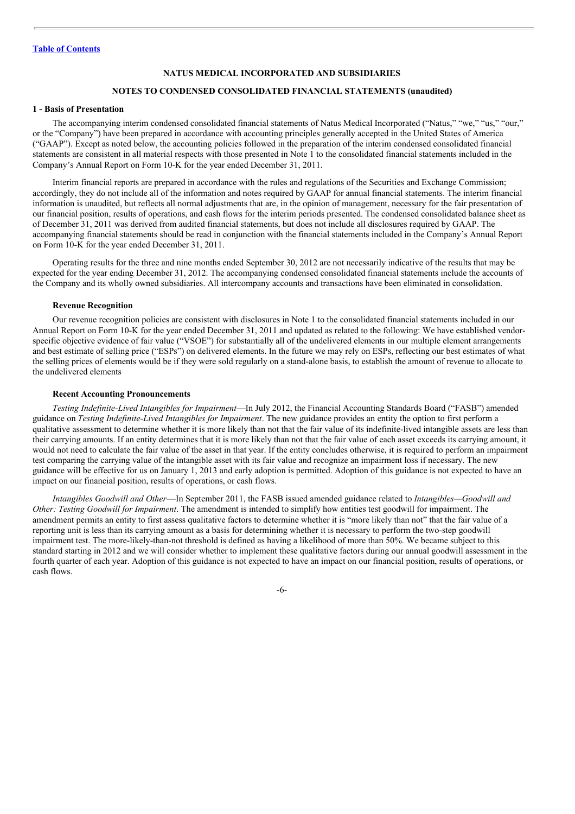### **NATUS MEDICAL INCORPORATED AND SUBSIDIARIES**

### **NOTES TO CONDENSED CONSOLIDATED FINANCIAL STATEMENTS (unaudited)**

#### **1 - Basis of Presentation**

The accompanying interim condensed consolidated financial statements of Natus Medical Incorporated ("Natus," "we," "us," "our," or the "Company") have been prepared in accordance with accounting principles generally accepted in the United States of America ("GAAP"). Except as noted below, the accounting policies followed in the preparation of the interim condensed consolidated financial statements are consistent in all material respects with those presented in Note 1 to the consolidated financial statements included in the Company's Annual Report on Form 10-K for the year ended December 31, 2011.

Interim financial reports are prepared in accordance with the rules and regulations of the Securities and Exchange Commission; accordingly, they do not include all of the information and notes required by GAAP for annual financial statements. The interim financial information is unaudited, but reflects all normal adjustments that are, in the opinion of management, necessary for the fair presentation of our financial position, results of operations, and cash flows for the interim periods presented. The condensed consolidated balance sheet as of December 31, 2011 was derived from audited financial statements, but does not include all disclosures required by GAAP. The accompanying financial statements should be read in conjunction with the financial statements included in the Company's Annual Report on Form 10-K for the year ended December 31, 2011.

Operating results for the three and nine months ended September 30, 2012 are not necessarily indicative of the results that may be expected for the year ending December 31, 2012. The accompanying condensed consolidated financial statements include the accounts of the Company and its wholly owned subsidiaries. All intercompany accounts and transactions have been eliminated in consolidation.

#### **Revenue Recognition**

Our revenue recognition policies are consistent with disclosures in Note 1 to the consolidated financial statements included in our Annual Report on Form 10-K for the year ended December 31, 2011 and updated as related to the following: We have established vendorspecific objective evidence of fair value ("VSOE") for substantially all of the undelivered elements in our multiple element arrangements and best estimate of selling price ("ESPs") on delivered elements. In the future we may rely on ESPs, reflecting our best estimates of what the selling prices of elements would be if they were sold regularly on a stand-alone basis, to establish the amount of revenue to allocate to the undelivered elements

#### **Recent Accounting Pronouncements**

*Testing Indefinite-Lived Intangibles for Impairment*—In July 2012, the Financial Accounting Standards Board ("FASB") amended guidance on *Testing Indefinite-Lived Intangibles for Impairment*. The new guidance provides an entity the option to first perform a qualitative assessment to determine whether it is more likely than not that the fair value of its indefinite-lived intangible assets are less than their carrying amounts. If an entity determines that it is more likely than not that the fair value of each asset exceeds its carrying amount, it would not need to calculate the fair value of the asset in that year. If the entity concludes otherwise, it is required to perform an impairment test comparing the carrying value of the intangible asset with its fair value and recognize an impairment loss if necessary. The new guidance will be effective for us on January 1, 2013 and early adoption is permitted. Adoption of this guidance is not expected to have an impact on our financial position, results of operations, or cash flows.

*Intangibles Goodwill and Other*—In September 2011, the FASB issued amended guidance related to *Intangibles—Goodwill and Other: Testing Goodwill for Impairment*. The amendment is intended to simplify how entities test goodwill for impairment. The amendment permits an entity to first assess qualitative factors to determine whether it is "more likely than not" that the fair value of a reporting unit is less than its carrying amount as a basis for determining whether it is necessary to perform the two-step goodwill impairment test. The more-likely-than-not threshold is defined as having a likelihood of more than 50%. We became subject to this standard starting in 2012 and we will consider whether to implement these qualitative factors during our annual goodwill assessment in the fourth quarter of each year. Adoption of this guidance is not expected to have an impact on our financial position, results of operations, or cash flows.

-6-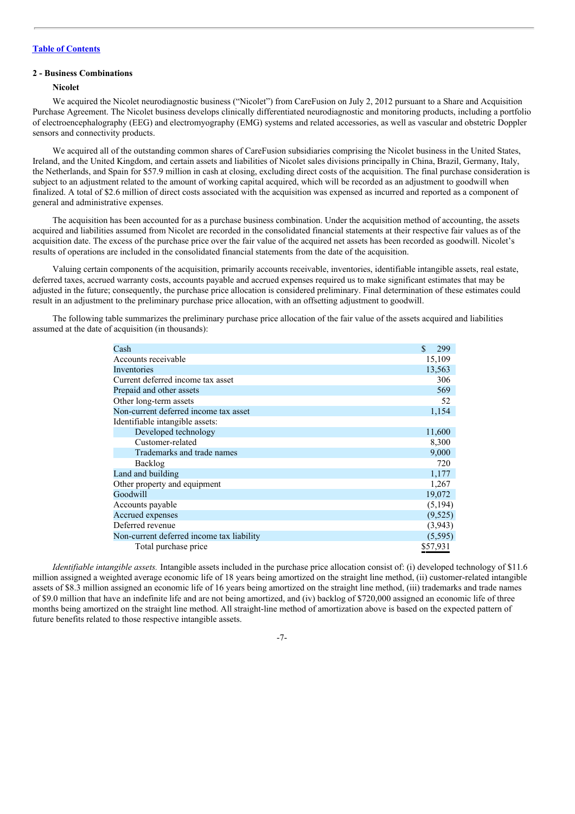#### **2 - Business Combinations**

#### **Nicolet**

We acquired the Nicolet neurodiagnostic business ("Nicolet") from CareFusion on July 2, 2012 pursuant to a Share and Acquisition Purchase Agreement. The Nicolet business develops clinically differentiated neurodiagnostic and monitoring products, including a portfolio of electroencephalography (EEG) and electromyography (EMG) systems and related accessories, as well as vascular and obstetric Doppler sensors and connectivity products.

We acquired all of the outstanding common shares of CareFusion subsidiaries comprising the Nicolet business in the United States, Ireland, and the United Kingdom, and certain assets and liabilities of Nicolet sales divisions principally in China, Brazil, Germany, Italy, the Netherlands, and Spain for \$57.9 million in cash at closing, excluding direct costs of the acquisition. The final purchase consideration is subject to an adjustment related to the amount of working capital acquired, which will be recorded as an adjustment to goodwill when finalized. A total of \$2.6 million of direct costs associated with the acquisition was expensed as incurred and reported as a component of general and administrative expenses.

The acquisition has been accounted for as a purchase business combination. Under the acquisition method of accounting, the assets acquired and liabilities assumed from Nicolet are recorded in the consolidated financial statements at their respective fair values as of the acquisition date. The excess of the purchase price over the fair value of the acquired net assets has been recorded as goodwill. Nicolet's results of operations are included in the consolidated financial statements from the date of the acquisition.

Valuing certain components of the acquisition, primarily accounts receivable, inventories, identifiable intangible assets, real estate, deferred taxes, accrued warranty costs, accounts payable and accrued expenses required us to make significant estimates that may be adjusted in the future; consequently, the purchase price allocation is considered preliminary. Final determination of these estimates could result in an adjustment to the preliminary purchase price allocation, with an offsetting adjustment to goodwill.

The following table summarizes the preliminary purchase price allocation of the fair value of the assets acquired and liabilities assumed at the date of acquisition (in thousands):

| Cash                                      | \$<br>299 |
|-------------------------------------------|-----------|
| Accounts receivable                       | 15,109    |
| Inventories                               | 13,563    |
| Current deferred income tax asset         | 306       |
| Prepaid and other assets                  | 569       |
| Other long-term assets                    | 52        |
| Non-current deferred income tax asset     | 1,154     |
| Identifiable intangible assets:           |           |
| Developed technology                      | 11,600    |
| Customer-related                          | 8,300     |
| Trademarks and trade names                | 9,000     |
| Backlog                                   | 720       |
| Land and building                         | 1,177     |
| Other property and equipment              | 1,267     |
| Goodwill                                  | 19,072    |
| Accounts payable                          | (5,194)   |
| Accrued expenses                          | (9,525)   |
| Deferred revenue                          | (3,943)   |
| Non-current deferred income tax liability | (5, 595)  |
| Total purchase price                      | \$57,931  |

*Identifiable intangible assets.* Intangible assets included in the purchase price allocation consist of: (i) developed technology of \$11.6 million assigned a weighted average economic life of 18 years being amortized on the straight line method, (ii) customer-related intangible assets of \$8.3 million assigned an economic life of 16 years being amortized on the straight line method, (iii) trademarks and trade names of \$9.0 million that have an indefinite life and are not being amortized, and (iv) backlog of \$720,000 assigned an economic life of three months being amortized on the straight line method. All straight-line method of amortization above is based on the expected pattern of future benefits related to those respective intangible assets.

-7-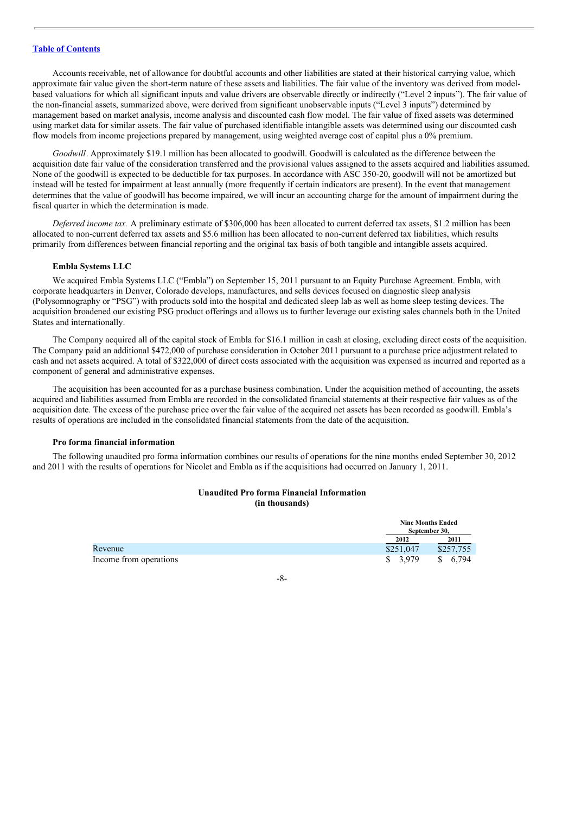Accounts receivable, net of allowance for doubtful accounts and other liabilities are stated at their historical carrying value, which approximate fair value given the short-term nature of these assets and liabilities. The fair value of the inventory was derived from modelbased valuations for which all significant inputs and value drivers are observable directly or indirectly ("Level 2 inputs"). The fair value of the non-financial assets, summarized above, were derived from significant unobservable inputs ("Level 3 inputs") determined by management based on market analysis, income analysis and discounted cash flow model. The fair value of fixed assets was determined using market data for similar assets. The fair value of purchased identifiable intangible assets was determined using our discounted cash flow models from income projections prepared by management, using weighted average cost of capital plus a 0% premium.

*Goodwill*. Approximately \$19.1 million has been allocated to goodwill. Goodwill is calculated as the difference between the acquisition date fair value of the consideration transferred and the provisional values assigned to the assets acquired and liabilities assumed. None of the goodwill is expected to be deductible for tax purposes. In accordance with ASC 350-20, goodwill will not be amortized but instead will be tested for impairment at least annually (more frequently if certain indicators are present). In the event that management determines that the value of goodwill has become impaired, we will incur an accounting charge for the amount of impairment during the fiscal quarter in which the determination is made.

*Deferred income tax.* A preliminary estimate of \$306,000 has been allocated to current deferred tax assets, \$1.2 million has been allocated to non-current deferred tax assets and \$5.6 million has been allocated to non-current deferred tax liabilities, which results primarily from differences between financial reporting and the original tax basis of both tangible and intangible assets acquired.

#### **Embla Systems LLC**

We acquired Embla Systems LLC ("Embla") on September 15, 2011 pursuant to an Equity Purchase Agreement. Embla, with corporate headquarters in Denver, Colorado develops, manufactures, and sells devices focused on diagnostic sleep analysis (Polysomnography or "PSG") with products sold into the hospital and dedicated sleep lab as well as home sleep testing devices. The acquisition broadened our existing PSG product offerings and allows us to further leverage our existing sales channels both in the United States and internationally.

The Company acquired all of the capital stock of Embla for \$16.1 million in cash at closing, excluding direct costs of the acquisition. The Company paid an additional \$472,000 of purchase consideration in October 2011 pursuant to a purchase price adjustment related to cash and net assets acquired. A total of \$322,000 of direct costs associated with the acquisition was expensed as incurred and reported as a component of general and administrative expenses.

The acquisition has been accounted for as a purchase business combination. Under the acquisition method of accounting, the assets acquired and liabilities assumed from Embla are recorded in the consolidated financial statements at their respective fair values as of the acquisition date. The excess of the purchase price over the fair value of the acquired net assets has been recorded as goodwill. Embla's results of operations are included in the consolidated financial statements from the date of the acquisition.

#### **Pro forma financial information**

The following unaudited pro forma information combines our results of operations for the nine months ended September 30, 2012 and 2011 with the results of operations for Nicolet and Embla as if the acquisitions had occurred on January 1, 2011.

### **Unaudited Pro forma Financial Information (in thousands)**

|                        |                     | <b>Nine Months Ended</b> |  |
|------------------------|---------------------|--------------------------|--|
|                        |                     | September 30.            |  |
|                        | 2012                | 2011                     |  |
| Revenue                | \$251,047           | \$257,755                |  |
| Income from operations | $\frac{1}{2}$ 3.979 | 6.794<br>S.              |  |

### -8-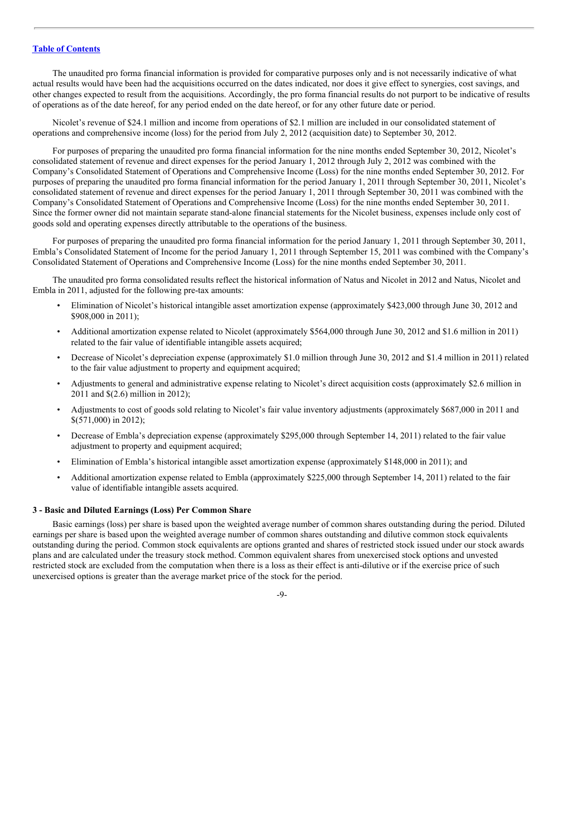The unaudited pro forma financial information is provided for comparative purposes only and is not necessarily indicative of what actual results would have been had the acquisitions occurred on the dates indicated, nor does it give effect to synergies, cost savings, and other changes expected to result from the acquisitions. Accordingly, the pro forma financial results do not purport to be indicative of results of operations as of the date hereof, for any period ended on the date hereof, or for any other future date or period.

Nicolet's revenue of \$24.1 million and income from operations of \$2.1 million are included in our consolidated statement of operations and comprehensive income (loss) for the period from July 2, 2012 (acquisition date) to September 30, 2012.

For purposes of preparing the unaudited pro forma financial information for the nine months ended September 30, 2012, Nicolet's consolidated statement of revenue and direct expenses for the period January 1, 2012 through July 2, 2012 was combined with the Company's Consolidated Statement of Operations and Comprehensive Income (Loss) for the nine months ended September 30, 2012. For purposes of preparing the unaudited pro forma financial information for the period January 1, 2011 through September 30, 2011, Nicolet's consolidated statement of revenue and direct expenses for the period January 1, 2011 through September 30, 2011 was combined with the Company's Consolidated Statement of Operations and Comprehensive Income (Loss) for the nine months ended September 30, 2011. Since the former owner did not maintain separate stand-alone financial statements for the Nicolet business, expenses include only cost of goods sold and operating expenses directly attributable to the operations of the business.

For purposes of preparing the unaudited pro forma financial information for the period January 1, 2011 through September 30, 2011, Embla's Consolidated Statement of Income for the period January 1, 2011 through September 15, 2011 was combined with the Company's Consolidated Statement of Operations and Comprehensive Income (Loss) for the nine months ended September 30, 2011.

The unaudited pro forma consolidated results reflect the historical information of Natus and Nicolet in 2012 and Natus, Nicolet and Embla in 2011, adjusted for the following pre-tax amounts:

- Elimination of Nicolet's historical intangible asset amortization expense (approximately \$423,000 through June 30, 2012 and \$908,000 in 2011);
- Additional amortization expense related to Nicolet (approximately \$564,000 through June 30, 2012 and \$1.6 million in 2011) related to the fair value of identifiable intangible assets acquired;
- Decrease of Nicolet's depreciation expense (approximately \$1.0 million through June 30, 2012 and \$1.4 million in 2011) related to the fair value adjustment to property and equipment acquired;
- Adjustments to general and administrative expense relating to Nicolet's direct acquisition costs (approximately \$2.6 million in 2011 and \$(2.6) million in 2012);
- Adjustments to cost of goods sold relating to Nicolet's fair value inventory adjustments (approximately \$687,000 in 2011 and \$(571,000) in 2012);
- Decrease of Embla's depreciation expense (approximately \$295,000 through September 14, 2011) related to the fair value adjustment to property and equipment acquired;
- Elimination of Embla's historical intangible asset amortization expense (approximately \$148,000 in 2011); and
- Additional amortization expense related to Embla (approximately \$225,000 through September 14, 2011) related to the fair value of identifiable intangible assets acquired.

### **3 - Basic and Diluted Earnings (Loss) Per Common Share**

Basic earnings (loss) per share is based upon the weighted average number of common shares outstanding during the period. Diluted earnings per share is based upon the weighted average number of common shares outstanding and dilutive common stock equivalents outstanding during the period. Common stock equivalents are options granted and shares of restricted stock issued under our stock awards plans and are calculated under the treasury stock method. Common equivalent shares from unexercised stock options and unvested restricted stock are excluded from the computation when there is a loss as their effect is anti-dilutive or if the exercise price of such unexercised options is greater than the average market price of the stock for the period.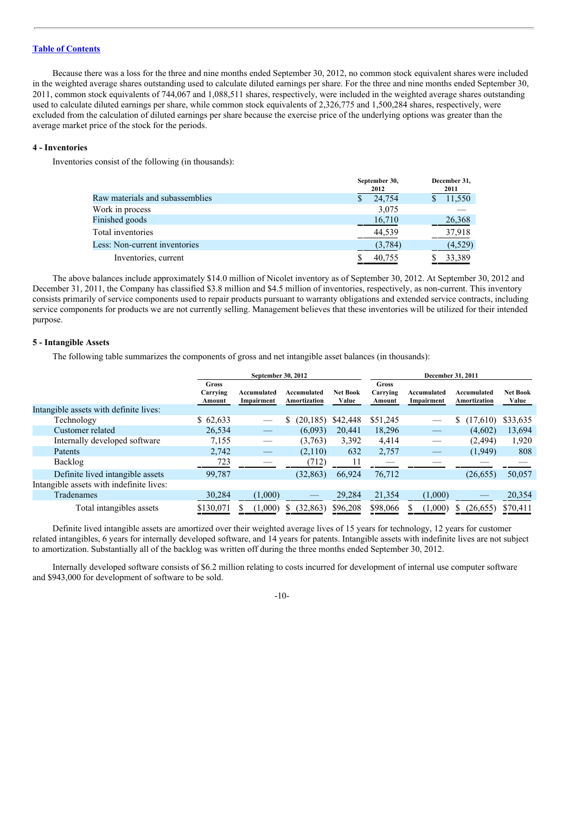Because there was a loss for the three and nine months ended September 30, 2012, no common stock equivalent shares were included in the weighted average shares outstanding used to calculate diluted earnings per share. For the three and nine months ended September 30, 2011, common stock equivalents of 744,067 and 1,088,511 shares, respectively, were included in the weighted average shares outstanding used to calculate diluted earnings per share, while common stock equivalents of 2,326,775 and 1,500,284 shares, respectively, were excluded from the calculation of diluted earnings per share because the exercise price of the underlying options was greater than the average market price of the stock for the periods.

#### **4 - Inventories**

Inventories consist of the following (in thousands):

|                                 | September 30,<br>2012 | December 31,<br>2011 |  |  |
|---------------------------------|-----------------------|----------------------|--|--|
| Raw materials and subassemblies | 24,754<br>S           | 11,550               |  |  |
| Work in process                 | 3,075                 |                      |  |  |
| Finished goods                  | 16,710                | 26,368               |  |  |
| Total inventories               | 44,539                | 37,918               |  |  |
| Less: Non-current inventories   | (3, 784)              | (4,529)              |  |  |
| Inventories, current            | 40,755                | 33,389               |  |  |

The above balances include approximately \$14.0 million of Nicolet inventory as of September 30, 2012. At September 30, 2012 and December 31, 2011, the Company has classified \$3.8 million and \$4.5 million of inventories, respectively, as non-current. This inventory consists primarily of service components used to repair products pursuant to warranty obligations and extended service contracts, including service components for products we are not currently selling. Management believes that these inventories will be utilized for their intended purpose.

### **5 - Intangible Assets**

The following table summarizes the components of gross and net intangible asset balances (in thousands):

|                                          | September 30, 2012                 |                           |                             | December 31, 2011        |                             |                           |                             |                   |
|------------------------------------------|------------------------------------|---------------------------|-----------------------------|--------------------------|-----------------------------|---------------------------|-----------------------------|-------------------|
| Intangible assets with definite lives:   | <b>Gross</b><br>Carrying<br>Amount | Accumulated<br>Impairment | Accumulated<br>Amortization | <b>Net Book</b><br>Value | Gross<br>Carrying<br>Amount | Accumulated<br>Impairment | Accumulated<br>Amortization | Net Book<br>Value |
| Technology                               | \$62,633                           |                           | (20, 185)<br>S              | \$42,448                 | \$51,245                    |                           | S<br>(17,610)               | \$33,635          |
| Customer related                         | 26,534                             |                           | (6,093)                     | 20,441                   | 18,296                      |                           | (4,602)                     | 13,694            |
| Internally developed software            | 7,155                              |                           | (3,763)                     | 3,392                    | 4,414                       |                           | (2, 494)                    | 1,920             |
| Patents                                  | 2,742                              |                           | (2,110)                     | 632                      | 2,757                       |                           | (1,949)                     | 808               |
| Backlog                                  | 723                                |                           | (712)                       | 11                       |                             |                           |                             |                   |
| Definite lived intangible assets         | 99,787                             |                           | (32, 863)                   | 66,924                   | 76,712                      |                           | (26, 655)                   | 50,057            |
| Intangible assets with indefinite lives: |                                    |                           |                             |                          |                             |                           |                             |                   |
| Tradenames                               | 30,284                             | (1,000)                   |                             | 29,284                   | 21,354                      | (1,000)                   |                             | 20,354            |
| Total intangibles assets                 | \$130,071                          | (1,000)                   | (32, 863)                   | \$96,208                 | \$98,066                    | (1,000)                   | (26, 655)                   | \$70,411          |

Definite lived intangible assets are amortized over their weighted average lives of 15 years for technology, 12 years for customer related intangibles, 6 years for internally developed software, and 14 years for patents. Intangible assets with indefinite lives are not subject to amortization. Substantially all of the backlog was written off during the three months ended September 30, 2012.

Internally developed software consists of \$6.2 million relating to costs incurred for development of internal use computer software and \$943,000 for development of software to be sold.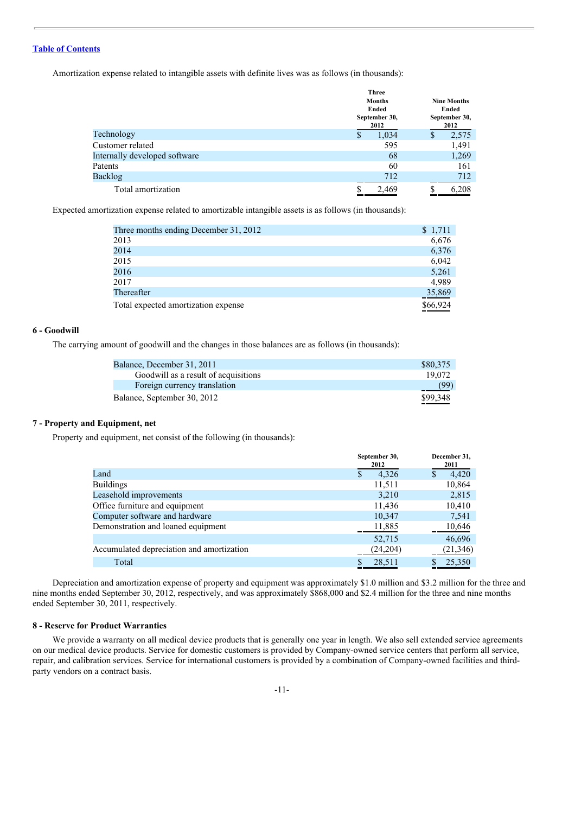Amortization expense related to intangible assets with definite lives was as follows (in thousands):

|                               | <b>Three</b><br><b>Months</b><br>Ended<br>September 30,<br>2012 | <b>Nine Months</b><br>Ended<br>September 30,<br>2012 |
|-------------------------------|-----------------------------------------------------------------|------------------------------------------------------|
| Technology                    | 1,034<br>\$                                                     | 2,575<br>S                                           |
| Customer related              | 595                                                             | 1,491                                                |
| Internally developed software | 68                                                              | 1,269                                                |
| Patents                       | 60                                                              | 161                                                  |
| Backlog                       | 712                                                             | 712                                                  |
| Total amortization            | 2.469<br>\$                                                     | 6.208<br>J                                           |

Expected amortization expense related to amortizable intangible assets is as follows (in thousands):

| Three months ending December 31, 2012 | \$1,711  |
|---------------------------------------|----------|
| 2013                                  | 6,676    |
| 2014                                  | 6,376    |
| 2015                                  | 6,042    |
| 2016                                  | 5,261    |
| 2017                                  | 4,989    |
| Thereafter                            | 35,869   |
| Total expected amortization expense   | \$66,924 |

#### **6 - Goodwill**

The carrying amount of goodwill and the changes in those balances are as follows (in thousands):

| Balance, December 31, 2011           | \$80,375 |
|--------------------------------------|----------|
| Goodwill as a result of acquisitions | 19.072   |
| Foreign currency translation         | (99)     |
| Balance, September 30, 2012          | \$99,348 |

### **7 - Property and Equipment, net**

Property and equipment, net consist of the following (in thousands):

|                                           | September 30,<br>2012 | December 31,<br>2011 |
|-------------------------------------------|-----------------------|----------------------|
| Land                                      | 4,326<br>S            | 4,420                |
| <b>Buildings</b>                          | 11,511                | 10,864               |
| Leasehold improvements                    | 3,210                 | 2,815                |
| Office furniture and equipment            | 11,436                | 10,410               |
| Computer software and hardware            | 10,347                | 7,541                |
| Demonstration and loaned equipment        | 11,885                | 10,646               |
|                                           | 52,715                | 46,696               |
| Accumulated depreciation and amortization | (24,204)              | (21, 346)            |
| Total                                     | 28,511                | 25,350               |

Depreciation and amortization expense of property and equipment was approximately \$1.0 million and \$3.2 million for the three and nine months ended September 30, 2012, respectively, and was approximately \$868,000 and \$2.4 million for the three and nine months ended September 30, 2011, respectively.

### **8 - Reserve for Product Warranties**

We provide a warranty on all medical device products that is generally one year in length. We also sell extended service agreements on our medical device products. Service for domestic customers is provided by Company-owned service centers that perform all service, repair, and calibration services. Service for international customers is provided by a combination of Company-owned facilities and thirdparty vendors on a contract basis.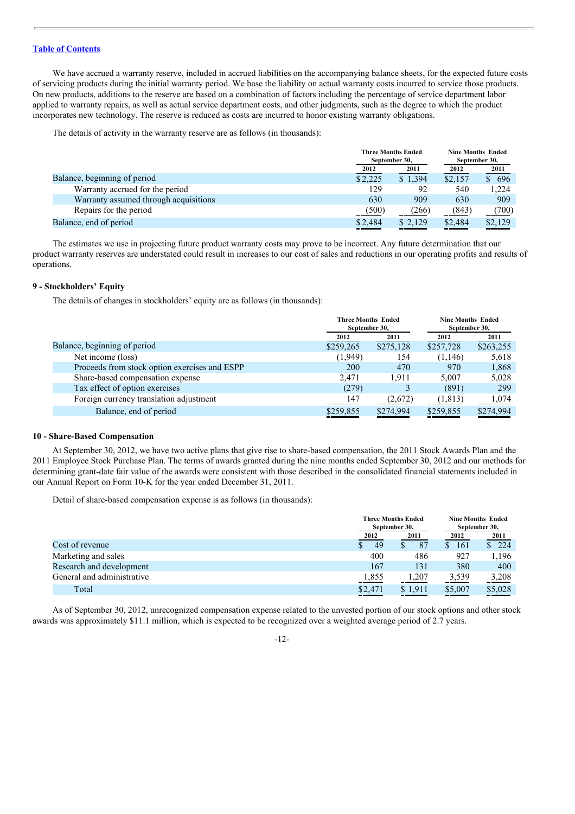We have accrued a warranty reserve, included in accrued liabilities on the accompanying balance sheets, for the expected future costs of servicing products during the initial warranty period. We base the liability on actual warranty costs incurred to service those products. On new products, additions to the reserve are based on a combination of factors including the percentage of service department labor applied to warranty repairs, as well as actual service department costs, and other judgments, such as the degree to which the product incorporates new technology. The reserve is reduced as costs are incurred to honor existing warranty obligations.

The details of activity in the warranty reserve are as follows (in thousands):

|                                       |         | <b>Three Months Ended</b><br>September 30, | <b>Nine Months Ended</b><br>September 30, |         |
|---------------------------------------|---------|--------------------------------------------|-------------------------------------------|---------|
|                                       | 2012    | 2011                                       | 2012                                      | 2011    |
| Balance, beginning of period          | \$2,225 | \$1,394                                    | \$2,157                                   | \$696   |
| Warranty accrued for the period       | 129     | 92                                         | 540                                       | 1.224   |
| Warranty assumed through acquisitions | 630     | 909                                        | 630                                       | 909     |
| Repairs for the period                | (500)   | (266)                                      | (843)                                     | (700)   |
| Balance, end of period                | \$2,484 | \$2,129                                    | \$2,484                                   | \$2,129 |

The estimates we use in projecting future product warranty costs may prove to be incorrect. Any future determination that our product warranty reserves are understated could result in increases to our cost of sales and reductions in our operating profits and results of operations.

### **9 - Stockholders' Equity**

The details of changes in stockholders' equity are as follows (in thousands):

|                                               | <b>Three Months Ended</b><br>September 30, |           | <b>Nine Months Ended</b><br>September 30, |           |
|-----------------------------------------------|--------------------------------------------|-----------|-------------------------------------------|-----------|
|                                               | 2012                                       | 2011      | 2012                                      | 2011      |
| Balance, beginning of period                  | \$259,265                                  | \$275,128 | \$257,728                                 | \$263,255 |
| Net income (loss)                             | (1,949)                                    | 154       | (1,146)                                   | 5,618     |
| Proceeds from stock option exercises and ESPP | 200                                        | 470       | 970                                       | 1,868     |
| Share-based compensation expense              | 2.471                                      | 1.911     | 5.007                                     | 5,028     |
| Tax effect of option exercises                | (279)                                      |           | (891)                                     | 299       |
| Foreign currency translation adjustment       | 147                                        | (2,672)   | (1, 813)                                  | 1,074     |
| Balance, end of period                        | \$259,855                                  | \$274,994 | \$259,855                                 | \$274,994 |
|                                               |                                            |           |                                           |           |

#### **10 - Share-Based Compensation**

At September 30, 2012, we have two active plans that give rise to share-based compensation, the 2011 Stock Awards Plan and the 2011 Employee Stock Purchase Plan. The terms of awards granted during the nine months ended September 30, 2012 and our methods for determining grant-date fair value of the awards were consistent with those described in the consolidated financial statements included in our Annual Report on Form 10-K for the year ended December 31, 2011.

Detail of share-based compensation expense is as follows (in thousands):

|                            |         | <b>Three Months Ended</b><br>September 30, |         | <b>Nine Months Ended</b><br>September 30, |
|----------------------------|---------|--------------------------------------------|---------|-------------------------------------------|
|                            | 2012    | 2011                                       | 2012    | <b>2011</b>                               |
| Cost of revenue            | 49      | 87                                         | 161     | \$224                                     |
| Marketing and sales        | 400     | 486                                        | 927     | 1,196                                     |
| Research and development   | 167     | 131                                        | 380     | 400                                       |
| General and administrative | 1,855   | 1.207                                      | 3,539   | 3,208                                     |
| Total                      | \$2,471 | \$1.911                                    | \$5,007 | \$5,028                                   |

As of September 30, 2012, unrecognized compensation expense related to the unvested portion of our stock options and other stock awards was approximately \$11.1 million, which is expected to be recognized over a weighted average period of 2.7 years.

-12-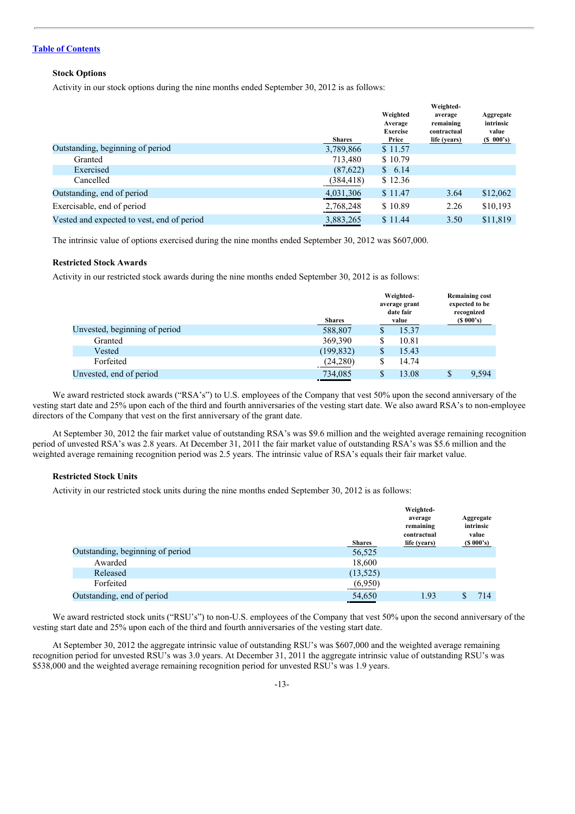### **Stock Options**

Activity in our stock options during the nine months ended September 30, 2012 is as follows:

|                                            | <b>Shares</b> | Weighted<br>Average<br><b>Exercise</b><br>Price | Weighted-<br>average<br>remaining<br>contractual<br>life (years) | Aggregate<br>intrinsic<br>value<br>$($ \$ 000's) |
|--------------------------------------------|---------------|-------------------------------------------------|------------------------------------------------------------------|--------------------------------------------------|
| Outstanding, beginning of period           | 3,789,866     | \$11.57                                         |                                                                  |                                                  |
| Granted                                    | 713,480       | \$10.79                                         |                                                                  |                                                  |
| Exercised                                  | (87,622)      | \$6.14                                          |                                                                  |                                                  |
| Cancelled                                  | (384, 418)    | \$12.36                                         |                                                                  |                                                  |
| Outstanding, end of period                 | 4,031,306     | \$11.47                                         | 3.64                                                             | \$12,062                                         |
| Exercisable, end of period                 | 2,768,248     | \$10.89                                         | 2.26                                                             | \$10,193                                         |
| Vested and expected to vest, end of period | 3,883,265     | \$11.44                                         | 3.50                                                             | \$11,819                                         |

The intrinsic value of options exercised during the nine months ended September 30, 2012 was \$607,000.

### **Restricted Stock Awards**

Activity in our restricted stock awards during the nine months ended September 30, 2012 is as follows:

|                               | <b>Shares</b> |   | Weighted-<br>average grant<br>date fair<br>value |   | <b>Remaining cost</b><br>expected to be<br>recognized<br>$(S\ 000's)$ |
|-------------------------------|---------------|---|--------------------------------------------------|---|-----------------------------------------------------------------------|
| Unvested, beginning of period | 588,807       | S | 15.37                                            |   |                                                                       |
| Granted                       | 369,390       | S | 10.81                                            |   |                                                                       |
| Vested                        | (199, 832)    | S | 15.43                                            |   |                                                                       |
| Forfeited                     | (24,280)      | S | 14.74                                            |   |                                                                       |
| Unvested, end of period       | 734,085       | S | 13.08                                            | S | 9,594                                                                 |

We award restricted stock awards ("RSA's") to U.S. employees of the Company that vest 50% upon the second anniversary of the vesting start date and 25% upon each of the third and fourth anniversaries of the vesting start date. We also award RSA's to non-employee directors of the Company that vest on the first anniversary of the grant date.

At September 30, 2012 the fair market value of outstanding RSA's was \$9.6 million and the weighted average remaining recognition period of unvested RSA's was 2.8 years. At December 31, 2011 the fair market value of outstanding RSA's was \$5.6 million and the weighted average remaining recognition period was 2.5 years. The intrinsic value of RSA's equals their fair market value.

#### **Restricted Stock Units**

Activity in our restricted stock units during the nine months ended September 30, 2012 is as follows:

|                                  | <b>Shares</b> | Weighted-<br>average<br>remaining<br>contractual<br>life (years) | Aggregate<br>intrinsic<br>value<br>$(S\ 000's)$ |
|----------------------------------|---------------|------------------------------------------------------------------|-------------------------------------------------|
| Outstanding, beginning of period | 56,525        |                                                                  |                                                 |
| Awarded                          | 18,600        |                                                                  |                                                 |
| Released                         | (13, 525)     |                                                                  |                                                 |
| Forfeited                        | (6,950)       |                                                                  |                                                 |
| Outstanding, end of period       | 54,650        | 1.93                                                             | 714                                             |

We award restricted stock units ("RSU's") to non-U.S. employees of the Company that vest 50% upon the second anniversary of the vesting start date and 25% upon each of the third and fourth anniversaries of the vesting start date.

At September 30, 2012 the aggregate intrinsic value of outstanding RSU's was \$607,000 and the weighted average remaining recognition period for unvested RSU's was 3.0 years. At December 31, 2011 the aggregate intrinsic value of outstanding RSU's was \$538,000 and the weighted average remaining recognition period for unvested RSU's was 1.9 years.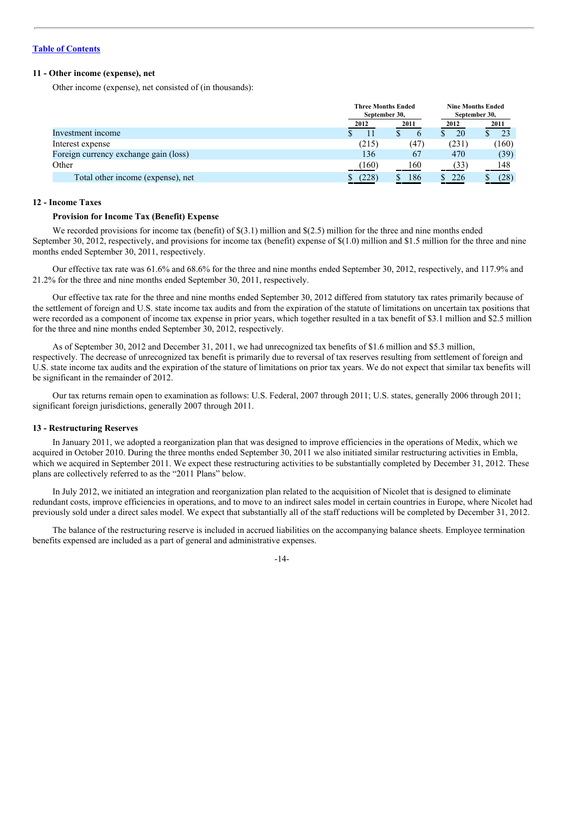### **11 - Other income (expense), net**

Other income (expense), net consisted of (in thousands):

|                                       | <b>Three Months Ended</b><br>September 30, |      | <b>Nine Months Ended</b><br>September 30, |       |
|---------------------------------------|--------------------------------------------|------|-------------------------------------------|-------|
|                                       | 2012                                       | 2011 | 2012                                      | 2011  |
| Investment income                     |                                            |      | 20                                        |       |
| Interest expense                      | (215)                                      | (47) | (231)                                     | (160) |
| Foreign currency exchange gain (loss) | 136                                        | 67   | 470                                       | (39)  |
| Other                                 | (160)                                      | 160  | (33)                                      | 148   |
| Total other income (expense), net     | (228)                                      | 186  | 226                                       | (28)  |

#### **12 - Income Taxes**

### **Provision for Income Tax (Benefit) Expense**

We recorded provisions for income tax (benefit) of  $\S(3.1)$  million and  $\S(2.5)$  million for the three and nine months ended September 30, 2012, respectively, and provisions for income tax (benefit) expense of  $\$(1,0)$  million and  $\$1.5$  million for the three and nine months ended September 30, 2011, respectively.

Our effective tax rate was 61.6% and 68.6% for the three and nine months ended September 30, 2012, respectively, and 117.9% and 21.2% for the three and nine months ended September 30, 2011, respectively.

Our effective tax rate for the three and nine months ended September 30, 2012 differed from statutory tax rates primarily because of the settlement of foreign and U.S. state income tax audits and from the expiration of the statute of limitations on uncertain tax positions that were recorded as a component of income tax expense in prior years, which together resulted in a tax benefit of \$3.1 million and \$2.5 million for the three and nine months ended September 30, 2012, respectively.

As of September 30, 2012 and December 31, 2011, we had unrecognized tax benefits of \$1.6 million and \$5.3 million, respectively. The decrease of unrecognized tax benefit is primarily due to reversal of tax reserves resulting from settlement of foreign and U.S. state income tax audits and the expiration of the stature of limitations on prior tax years. We do not expect that similar tax benefits will be significant in the remainder of 2012.

Our tax returns remain open to examination as follows: U.S. Federal, 2007 through 2011; U.S. states, generally 2006 through 2011; significant foreign jurisdictions, generally 2007 through 2011.

### **13 - Restructuring Reserves**

In January 2011, we adopted a reorganization plan that was designed to improve efficiencies in the operations of Medix, which we acquired in October 2010. During the three months ended September 30, 2011 we also initiated similar restructuring activities in Embla, which we acquired in September 2011. We expect these restructuring activities to be substantially completed by December 31, 2012. These plans are collectively referred to as the "2011 Plans" below.

In July 2012, we initiated an integration and reorganization plan related to the acquisition of Nicolet that is designed to eliminate redundant costs, improve efficiencies in operations, and to move to an indirect sales model in certain countries in Europe, where Nicolet had previously sold under a direct sales model. We expect that substantially all of the staff reductions will be completed by December 31, 2012.

The balance of the restructuring reserve is included in accrued liabilities on the accompanying balance sheets. Employee termination benefits expensed are included as a part of general and administrative expenses.

 $-11$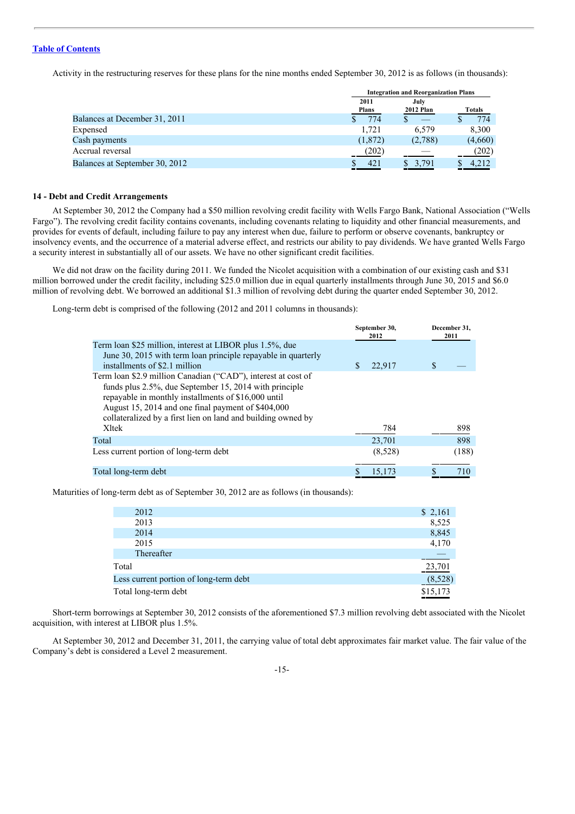Activity in the restructuring reserves for these plans for the nine months ended September 30, 2012 is as follows (in thousands):

|                                |               | <b>Integration and Reorganization Plans</b> |               |
|--------------------------------|---------------|---------------------------------------------|---------------|
|                                | 2011<br>Plans | July<br>2012 Plan                           | <b>Totals</b> |
| Balances at December 31, 2011  | 774           |                                             | 774<br>D      |
| Expensed                       | 1.721         | 6.579                                       | 8,300         |
| Cash payments                  | (1,872)       | (2,788)                                     | (4,660)       |
| Accrual reversal               | (202)         |                                             | (202)         |
| Balances at September 30, 2012 | 421           | 3.791                                       | 4.212         |

#### **14 - Debt and Credit Arrangements**

At September 30, 2012 the Company had a \$50 million revolving credit facility with Wells Fargo Bank, National Association ("Wells Fargo"). The revolving credit facility contains covenants, including covenants relating to liquidity and other financial measurements, and provides for events of default, including failure to pay any interest when due, failure to perform or observe covenants, bankruptcy or insolvency events, and the occurrence of a material adverse effect, and restricts our ability to pay dividends. We have granted Wells Fargo a security interest in substantially all of our assets. We have no other significant credit facilities.

We did not draw on the facility during 2011. We funded the Nicolet acquisition with a combination of our existing cash and \$31 million borrowed under the credit facility, including \$25.0 million due in equal quarterly installments through June 30, 2015 and \$6.0 million of revolving debt. We borrowed an additional \$1.3 million of revolving debt during the quarter ended September 30, 2012.

Long-term debt is comprised of the following (2012 and 2011 columns in thousands):

|                                                                                                                                                                                                                                                                                                                       |   | September 30,<br>2012 |     | December 31,<br>2011 |
|-----------------------------------------------------------------------------------------------------------------------------------------------------------------------------------------------------------------------------------------------------------------------------------------------------------------------|---|-----------------------|-----|----------------------|
| Term loan \$25 million, interest at LIBOR plus 1.5%, due<br>June 30, 2015 with term loan principle repayable in quarterly<br>installments of \$2.1 million                                                                                                                                                            | S | 22,917                | \$. |                      |
| Term loan \$2.9 million Canadian ("CAD"), interest at cost of<br>funds plus 2.5%, due September 15, 2014 with principle<br>repayable in monthly installments of \$16,000 until<br>August 15, 2014 and one final payment of \$404,000<br>collateralized by a first lien on land and building owned by<br><b>X</b> ltek |   | 784                   |     | 898                  |
| Total                                                                                                                                                                                                                                                                                                                 |   | 23,701                |     | 898                  |
| Less current portion of long-term debt                                                                                                                                                                                                                                                                                |   | (8,528)               |     | (188)                |
| Total long-term debt                                                                                                                                                                                                                                                                                                  |   | 15,173                |     |                      |

Maturities of long-term debt as of September 30, 2012 are as follows (in thousands):

| 2012                                   | \$2,161  |
|----------------------------------------|----------|
| 2013                                   | 8,525    |
| 2014                                   | 8,845    |
| 2015                                   | 4,170    |
| Thereafter                             |          |
| Total                                  | 23,701   |
| Less current portion of long-term debt | (8,528)  |
| Total long-term debt                   | \$15,173 |

Short-term borrowings at September 30, 2012 consists of the aforementioned \$7.3 million revolving debt associated with the Nicolet acquisition, with interest at LIBOR plus 1.5%.

At September 30, 2012 and December 31, 2011, the carrying value of total debt approximates fair market value. The fair value of the Company's debt is considered a Level 2 measurement.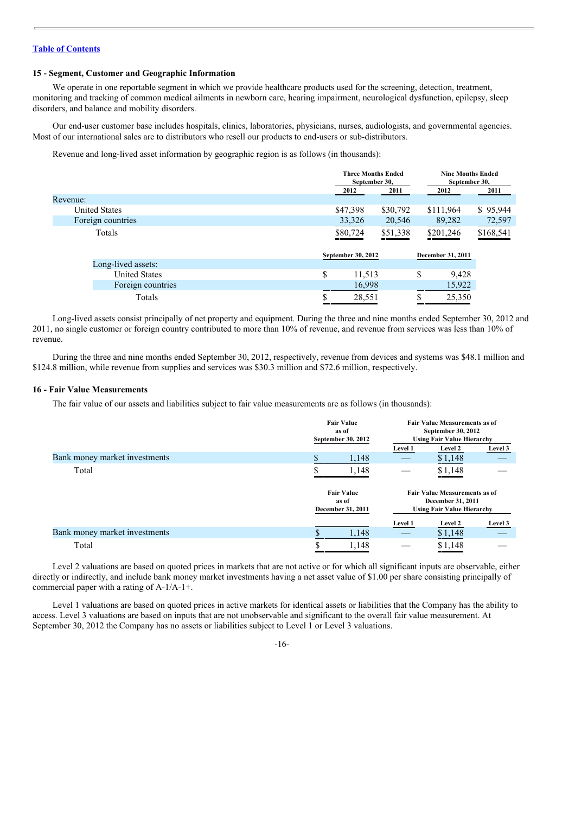### **15 - Segment, Customer and Geographic Information**

We operate in one reportable segment in which we provide healthcare products used for the screening, detection, treatment, monitoring and tracking of common medical ailments in newborn care, hearing impairment, neurological dysfunction, epilepsy, sleep disorders, and balance and mobility disorders.

Our end-user customer base includes hospitals, clinics, laboratories, physicians, nurses, audiologists, and governmental agencies. Most of our international sales are to distributors who resell our products to end-users or sub-distributors.

Revenue and long-lived asset information by geographic region is as follows (in thousands):

|                      | <b>Three Months Ended</b><br>September 30, |          | <b>Nine Months Ended</b><br>September 30, |           |
|----------------------|--------------------------------------------|----------|-------------------------------------------|-----------|
|                      | 2012                                       | 2011     | 2012                                      | 2011      |
| Revenue:             |                                            |          |                                           |           |
| <b>United States</b> | \$47,398                                   | \$30,792 | \$111,964                                 | \$95,944  |
| Foreign countries    | 33,326                                     | 20,546   | 89,282                                    | 72,597    |
| Totals               | \$80,724                                   | \$51,338 | \$201,246                                 | \$168,541 |
|                      | September 30, 2012                         |          | December 31, 2011                         |           |
| Long-lived assets:   |                                            |          |                                           |           |
| <b>United States</b> | \$<br>11,513                               |          | \$<br>9,428                               |           |
| Foreign countries    | 16,998                                     |          | 15,922                                    |           |
| Totals               | 28,551                                     |          | 25,350                                    |           |

Long-lived assets consist principally of net property and equipment. During the three and nine months ended September 30, 2012 and 2011, no single customer or foreign country contributed to more than 10% of revenue, and revenue from services was less than 10% of revenue.

During the three and nine months ended September 30, 2012, respectively, revenue from devices and systems was \$48.1 million and \$124.8 million, while revenue from supplies and services was \$30.3 million and \$72.6 million, respectively.

#### **16 - Fair Value Measurements**

The fair value of our assets and liabilities subject to fair value measurements are as follows (in thousands):

|                               | <b>Fair Value</b><br>as of                      | <b>Fair Value Measurements as of</b><br>September 30, 2012                                     |
|-------------------------------|-------------------------------------------------|------------------------------------------------------------------------------------------------|
|                               | September 30, 2012                              | <b>Using Fair Value Hierarchy</b><br>Level 2                                                   |
| Bank money market investments | \$<br>1,148                                     | Level 1<br>Level 3<br>\$1,148                                                                  |
| Total                         | 1,148                                           | \$1,148                                                                                        |
|                               |                                                 |                                                                                                |
|                               | <b>Fair Value</b><br>as of<br>December 31, 2011 | <b>Fair Value Measurements as of</b><br>December 31, 2011<br><b>Using Fair Value Hierarchy</b> |
|                               |                                                 | Level 1<br>Level 2<br>Level 3                                                                  |
| Bank money market investments | 1,148                                           | \$1,148                                                                                        |

Level 2 valuations are based on quoted prices in markets that are not active or for which all significant inputs are observable, either directly or indirectly, and include bank money market investments having a net asset value of \$1.00 per share consisting principally of commercial paper with a rating of A-1/A-1+.

Level 1 valuations are based on quoted prices in active markets for identical assets or liabilities that the Company has the ability to access. Level 3 valuations are based on inputs that are not unobservable and significant to the overall fair value measurement. At September 30, 2012 the Company has no assets or liabilities subject to Level 1 or Level 3 valuations.

-16-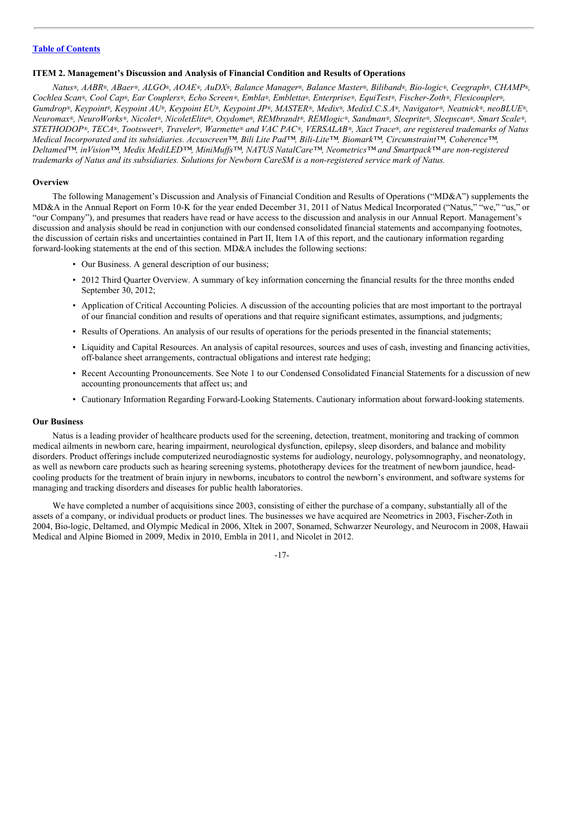### **ITEM 2. Management's Discussion and Analysis of Financial Condition and Results of Operations**

Natus®, AABR®, ABaer®, ALGO®, AOAE®, AuDX®, Balance Manager®, Balance Master®, Biliband®, Bio-logic®, Ceegraph®, CHAMP®, Cochlea Scan®, Cool Cap®, Ear Couplers®, Echo Screen®, Embla®, Embletta®, Enterprise®, EquiTest®, Fischer-Zoth®, Flexicoupler®, Gumdrop®, Keypoint®, Keypoint AU®, Keypoint EU®, Keypoint JP®, MASTER®, Medix®, MedixI.C.S.A®, Navigator®, Neatnick®, neoBLUE®, Neuromax®, NeuroWorks®, Nicolet®, NicoletElite®, Oxydome®, REMbrandt®, REMlogic®, Sandman®, Sleeprite®, Sleepscan®, Smart Scale®, STETHODOP®, TECA®, Tootsweet®, Traveler®, Warmette® and VAC PAC®, VERSALAB®, Xact Trace®, are registered trademarks of Natus *Medical Incorporated and its subsidiaries. Accuscreen™, Bili Lite Pad™, Bili-Lite™, Biomark™, Circumstraint™, Coherence™, Deltamed™, inVision™, Medix MediLED™, MiniMuf s™, NATUS NatalCare™, Neometrics™ and Smartpack™ are non-registered* trademarks of Natus and its subsidiaries. Solutions for Newborn CareSM is a non-registered service mark of Natus.

#### **Overview**

The following Management's Discussion and Analysis of Financial Condition and Results of Operations ("MD&A") supplements the MD&A in the Annual Report on Form 10-K for the year ended December 31, 2011 of Natus Medical Incorporated ("Natus," "we," "us," or "our Company"), and presumes that readers have read or have access to the discussion and analysis in our Annual Report. Management's discussion and analysis should be read in conjunction with our condensed consolidated financial statements and accompanying footnotes, the discussion of certain risks and uncertainties contained in Part II, Item 1A of this report, and the cautionary information regarding forward-looking statements at the end of this section. MD&A includes the following sections:

- Our Business. A general description of our business;
- 2012 Third Quarter Overview. A summary of key information concerning the financial results for the three months ended September 30, 2012;
- Application of Critical Accounting Policies. A discussion of the accounting policies that are most important to the portrayal of our financial condition and results of operations and that require significant estimates, assumptions, and judgments;
- Results of Operations. An analysis of our results of operations for the periods presented in the financial statements;
- Liquidity and Capital Resources. An analysis of capital resources, sources and uses of cash, investing and financing activities, off-balance sheet arrangements, contractual obligations and interest rate hedging;
- Recent Accounting Pronouncements. See Note 1 to our Condensed Consolidated Financial Statements for a discussion of new accounting pronouncements that affect us; and
- Cautionary Information Regarding Forward-Looking Statements. Cautionary information about forward-looking statements.

#### **Our Business**

Natus is a leading provider of healthcare products used for the screening, detection, treatment, monitoring and tracking of common medical ailments in newborn care, hearing impairment, neurological dysfunction, epilepsy, sleep disorders, and balance and mobility disorders. Product offerings include computerized neurodiagnostic systems for audiology, neurology, polysomnography, and neonatology, as well as newborn care products such as hearing screening systems, phototherapy devices for the treatment of newborn jaundice, headcooling products for the treatment of brain injury in newborns, incubators to control the newborn's environment, and software systems for managing and tracking disorders and diseases for public health laboratories.

We have completed a number of acquisitions since 2003, consisting of either the purchase of a company, substantially all of the assets of a company, or individual products or product lines. The businesses we have acquired are Neometrics in 2003, Fischer-Zoth in 2004, Bio-logic, Deltamed, and Olympic Medical in 2006, Xltek in 2007, Sonamed, Schwarzer Neurology, and Neurocom in 2008, Hawaii Medical and Alpine Biomed in 2009, Medix in 2010, Embla in 2011, and Nicolet in 2012.

-17-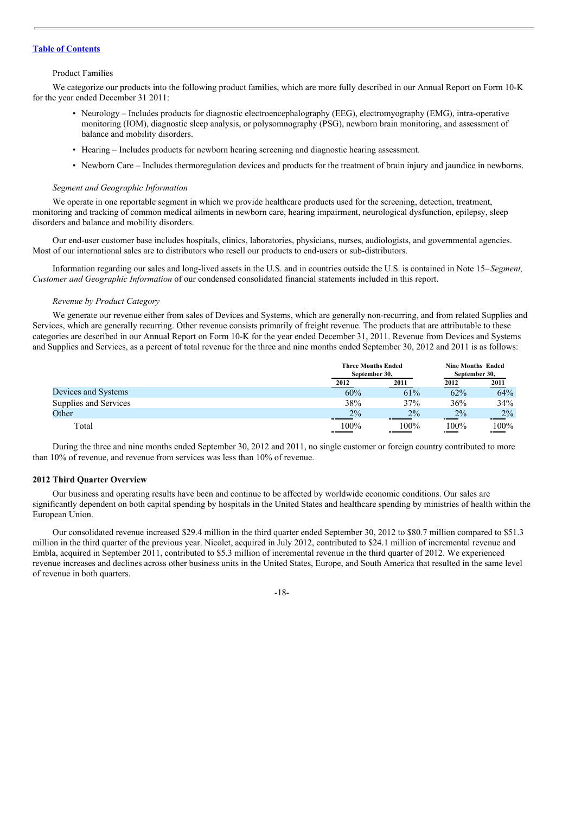#### Product Families

We categorize our products into the following product families, which are more fully described in our Annual Report on Form 10-K for the year ended December 31 2011:

- Neurology Includes products for diagnostic electroencephalography (EEG), electromyography (EMG), intra-operative monitoring (IOM), diagnostic sleep analysis, or polysomnography (PSG), newborn brain monitoring, and assessment of balance and mobility disorders.
- Hearing Includes products for newborn hearing screening and diagnostic hearing assessment.
- Newborn Care Includes thermoregulation devices and products for the treatment of brain injury and jaundice in newborns.

### *Segment and Geographic Information*

We operate in one reportable segment in which we provide healthcare products used for the screening, detection, treatment, monitoring and tracking of common medical ailments in newborn care, hearing impairment, neurological dysfunction, epilepsy, sleep disorders and balance and mobility disorders.

Our end-user customer base includes hospitals, clinics, laboratories, physicians, nurses, audiologists, and governmental agencies. Most of our international sales are to distributors who resell our products to end-users or sub-distributors.

Information regarding our sales and long-lived assets in the U.S. and in countries outside the U.S. is contained in Note 15–*Segment, Customer and Geographic Information* of our condensed consolidated financial statements included in this report.

#### *Revenue by Product Category*

We generate our revenue either from sales of Devices and Systems, which are generally non-recurring, and from related Supplies and Services, which are generally recurring. Other revenue consists primarily of freight revenue. The products that are attributable to these categories are described in our Annual Report on Form 10-K for the year ended December 31, 2011. Revenue from Devices and Systems and Supplies and Services, as a percent of total revenue for the three and nine months ended September 30, 2012 and 2011 is as follows:

|                       | <b>Three Months Ended</b><br>September 30. |       | <b>Nine Months Ended</b><br>September 30, |                                  |  |
|-----------------------|--------------------------------------------|-------|-------------------------------------------|----------------------------------|--|
|                       | 2012                                       | 2011  | 2012                                      | 2011                             |  |
| Devices and Systems   | 60%                                        | 61%   | 62%                                       | 64%                              |  |
| Supplies and Services | 38%                                        | 37%   | 36%                                       | 34%                              |  |
| Other                 | $2\%$                                      | $2\%$ | $2\%$                                     | $2\%$                            |  |
| Total                 | 100%                                       | 100%  | 100%                                      | 100%<br>$\overline{\phantom{a}}$ |  |

During the three and nine months ended September 30, 2012 and 2011, no single customer or foreign country contributed to more than 10% of revenue, and revenue from services was less than 10% of revenue.

### **2012 Third Quarter Overview**

Our business and operating results have been and continue to be affected by worldwide economic conditions. Our sales are significantly dependent on both capital spending by hospitals in the United States and healthcare spending by ministries of health within the European Union.

Our consolidated revenue increased \$29.4 million in the third quarter ended September 30, 2012 to \$80.7 million compared to \$51.3 million in the third quarter of the previous year. Nicolet, acquired in July 2012, contributed to \$24.1 million of incremental revenue and Embla, acquired in September 2011, contributed to \$5.3 million of incremental revenue in the third quarter of 2012. We experienced revenue increases and declines across other business units in the United States, Europe, and South America that resulted in the same level of revenue in both quarters.

#### -18-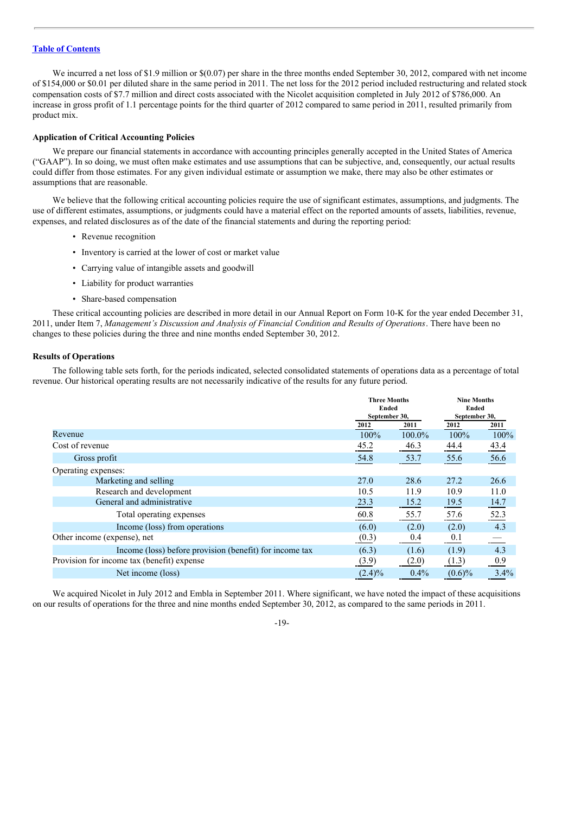We incurred a net loss of \$1.9 million or  $\frac{\mathcal{S}(0.07)}{2}$  per share in the three months ended September 30, 2012, compared with net income of \$154,000 or \$0.01 per diluted share in the same period in 2011. The net loss for the 2012 period included restructuring and related stock compensation costs of \$7.7 million and direct costs associated with the Nicolet acquisition completed in July 2012 of \$786,000. An increase in gross profit of 1.1 percentage points for the third quarter of 2012 compared to same period in 2011, resulted primarily from product mix.

### **Application of Critical Accounting Policies**

We prepare our financial statements in accordance with accounting principles generally accepted in the United States of America ("GAAP"). In so doing, we must often make estimates and use assumptions that can be subjective, and, consequently, our actual results could differ from those estimates. For any given individual estimate or assumption we make, there may also be other estimates or assumptions that are reasonable.

We believe that the following critical accounting policies require the use of significant estimates, assumptions, and judgments. The use of different estimates, assumptions, or judgments could have a material effect on the reported amounts of assets, liabilities, revenue, expenses, and related disclosures as of the date of the financial statements and during the reporting period:

- Revenue recognition
- Inventory is carried at the lower of cost or market value
- Carrying value of intangible assets and goodwill
- Liability for product warranties
- Share-based compensation

These critical accounting policies are described in more detail in our Annual Report on Form 10-K for the year ended December 31, 2011, under Item 7, *Management's Discussion and Analysis of Financial Condition and Results of Operations*. There have been no changes to these policies during the three and nine months ended September 30, 2012.

### **Results of Operations**

The following table sets forth, for the periods indicated, selected consolidated statements of operations data as a percentage of total revenue. Our historical operating results are not necessarily indicative of the results for any future period.

|                                                         | <b>Three Months</b><br>Ended<br>September 30, |         | <b>Nine Months</b><br>Ended<br>September 30, |                     |
|---------------------------------------------------------|-----------------------------------------------|---------|----------------------------------------------|---------------------|
|                                                         | 2012                                          | 2011    | 2012                                         | 2011                |
| Revenue                                                 | 100%                                          | 100.0%  | 100%                                         | 100%                |
| Cost of revenue                                         |                                               | 46.3    | 44.4                                         | 43.4                |
| Gross profit                                            | 54.8                                          | 53.7    | 55.6                                         | 56.6                |
| Operating expenses:                                     |                                               |         |                                              |                     |
| Marketing and selling                                   | 27.0                                          | 28.6    | 27.2                                         | 26.6                |
| Research and development                                | 10.5                                          | 11.9    | 10.9                                         | 11.0                |
| General and administrative                              | 23.3                                          | 15.2    | 19.5                                         |                     |
| Total operating expenses                                | 60.8                                          | 55.7    | 57.6                                         | $\frac{14.7}{52.3}$ |
| Income (loss) from operations                           | (6.0)                                         | (2.0)   | (2.0)                                        | 4.3                 |
| Other income (expense), net                             | (0.3)                                         | 0.4     | 0.1                                          |                     |
| Income (loss) before provision (benefit) for income tax | (6.3)                                         | (1.6)   | (1.9)                                        | 4.3                 |
| Provision for income tax (benefit) expense              | (3.9)                                         | (2.0)   | (1.3)                                        | 0.9                 |
| Net income (loss)                                       | $(2.4)\%$                                     | $0.4\%$ | $(0.6)\%$                                    | 3.4%                |

We acquired Nicolet in July 2012 and Embla in September 2011. Where significant, we have noted the impact of these acquisitions on our results of operations for the three and nine months ended September 30, 2012, as compared to the same periods in 2011.

 $-19-$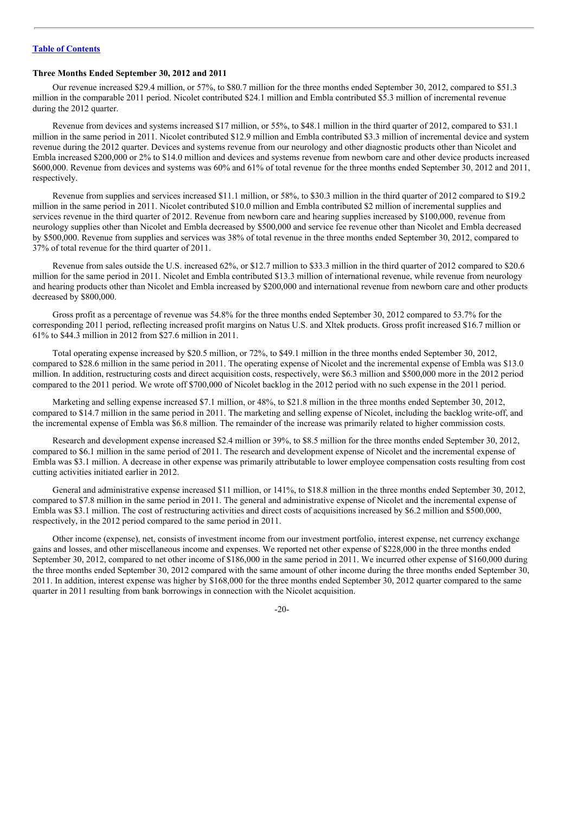### **Three Months Ended September 30, 2012 and 2011**

Our revenue increased \$29.4 million, or 57%, to \$80.7 million for the three months ended September 30, 2012, compared to \$51.3 million in the comparable 2011 period. Nicolet contributed \$24.1 million and Embla contributed \$5.3 million of incremental revenue during the 2012 quarter.

Revenue from devices and systems increased \$17 million, or 55%, to \$48.1 million in the third quarter of 2012, compared to \$31.1 million in the same period in 2011. Nicolet contributed \$12.9 million and Embla contributed \$3.3 million of incremental device and system revenue during the 2012 quarter. Devices and systems revenue from our neurology and other diagnostic products other than Nicolet and Embla increased \$200,000 or 2% to \$14.0 million and devices and systems revenue from newborn care and other device products increased \$600,000. Revenue from devices and systems was 60% and 61% of total revenue for the three months ended September 30, 2012 and 2011, respectively.

Revenue from supplies and services increased \$11.1 million, or 58%, to \$30.3 million in the third quarter of 2012 compared to \$19.2 million in the same period in 2011. Nicolet contributed \$10.0 million and Embla contributed \$2 million of incremental supplies and services revenue in the third quarter of 2012. Revenue from newborn care and hearing supplies increased by \$100,000, revenue from neurology supplies other than Nicolet and Embla decreased by \$500,000 and service fee revenue other than Nicolet and Embla decreased by \$500,000. Revenue from supplies and services was 38% of total revenue in the three months ended September 30, 2012, compared to 37% of total revenue for the third quarter of 2011.

Revenue from sales outside the U.S. increased 62%, or \$12.7 million to \$33.3 million in the third quarter of 2012 compared to \$20.6 million for the same period in 2011. Nicolet and Embla contributed \$13.3 million of international revenue, while revenue from neurology and hearing products other than Nicolet and Embla increased by \$200,000 and international revenue from newborn care and other products decreased by \$800,000.

Gross profit as a percentage of revenue was 54.8% for the three months ended September 30, 2012 compared to 53.7% for the corresponding 2011 period, reflecting increased profit margins on Natus U.S. and Xltek products. Gross profit increased \$16.7 million or 61% to \$44.3 million in 2012 from \$27.6 million in 2011.

Total operating expense increased by \$20.5 million, or 72%, to \$49.1 million in the three months ended September 30, 2012, compared to \$28.6 million in the same period in 2011. The operating expense of Nicolet and the incremental expense of Embla was \$13.0 million. In addition, restructuring costs and direct acquisition costs, respectively, were \$6.3 million and \$500,000 more in the 2012 period compared to the 2011 period. We wrote off \$700,000 of Nicolet backlog in the 2012 period with no such expense in the 2011 period.

Marketing and selling expense increased \$7.1 million, or 48%, to \$21.8 million in the three months ended September 30, 2012, compared to \$14.7 million in the same period in 2011. The marketing and selling expense of Nicolet, including the backlog write-off, and the incremental expense of Embla was \$6.8 million. The remainder of the increase was primarily related to higher commission costs.

Research and development expense increased \$2.4 million or 39%, to \$8.5 million for the three months ended September 30, 2012, compared to \$6.1 million in the same period of 2011. The research and development expense of Nicolet and the incremental expense of Embla was \$3.1 million. A decrease in other expense was primarily attributable to lower employee compensation costs resulting from cost cutting activities initiated earlier in 2012.

General and administrative expense increased \$11 million, or 141%, to \$18.8 million in the three months ended September 30, 2012, compared to \$7.8 million in the same period in 2011. The general and administrative expense of Nicolet and the incremental expense of Embla was \$3.1 million. The cost of restructuring activities and direct costs of acquisitions increased by \$6.2 million and \$500,000, respectively, in the 2012 period compared to the same period in 2011.

Other income (expense), net, consists of investment income from our investment portfolio, interest expense, net currency exchange gains and losses, and other miscellaneous income and expenses. We reported net other expense of \$228,000 in the three months ended September 30, 2012, compared to net other income of \$186,000 in the same period in 2011. We incurred other expense of \$160,000 during the three months ended September 30, 2012 compared with the same amount of other income during the three months ended September 30, 2011. In addition, interest expense was higher by \$168,000 for the three months ended September 30, 2012 quarter compared to the same quarter in 2011 resulting from bank borrowings in connection with the Nicolet acquisition.

 $-20-$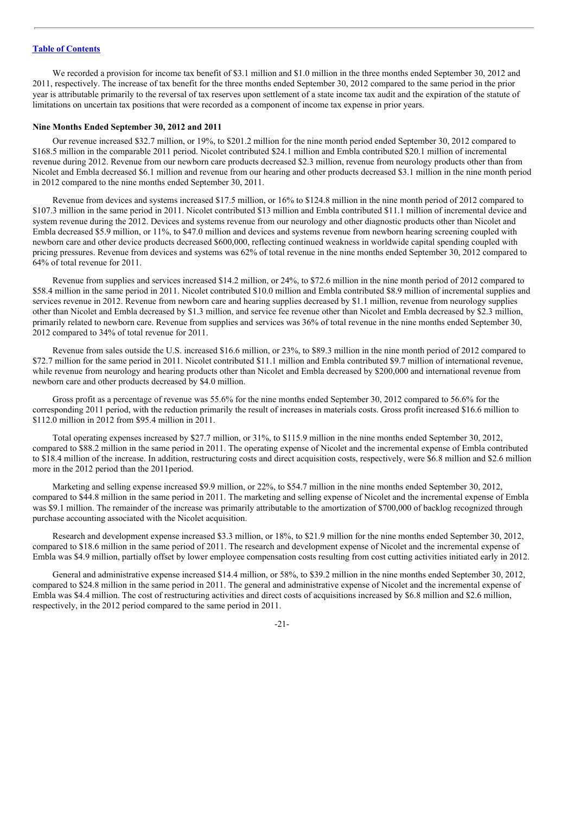We recorded a provision for income tax benefit of \$3.1 million and \$1.0 million in the three months ended September 30, 2012 and 2011, respectively. The increase of tax benefit for the three months ended September 30, 2012 compared to the same period in the prior year is attributable primarily to the reversal of tax reserves upon settlement of a state income tax audit and the expiration of the statute of limitations on uncertain tax positions that were recorded as a component of income tax expense in prior years.

### **Nine Months Ended September 30, 2012 and 2011**

Our revenue increased \$32.7 million, or 19%, to \$201.2 million for the nine month period ended September 30, 2012 compared to \$168.5 million in the comparable 2011 period. Nicolet contributed \$24.1 million and Embla contributed \$20.1 million of incremental revenue during 2012. Revenue from our newborn care products decreased \$2.3 million, revenue from neurology products other than from Nicolet and Embla decreased \$6.1 million and revenue from our hearing and other products decreased \$3.1 million in the nine month period in 2012 compared to the nine months ended September 30, 2011.

Revenue from devices and systems increased \$17.5 million, or 16% to \$124.8 million in the nine month period of 2012 compared to \$107.3 million in the same period in 2011. Nicolet contributed \$13 million and Embla contributed \$11.1 million of incremental device and system revenue during the 2012. Devices and systems revenue from our neurology and other diagnostic products other than Nicolet and Embla decreased \$5.9 million, or 11%, to \$47.0 million and devices and systems revenue from newborn hearing screening coupled with newborn care and other device products decreased \$600,000, reflecting continued weakness in worldwide capital spending coupled with pricing pressures. Revenue from devices and systems was 62% of total revenue in the nine months ended September 30, 2012 compared to 64% of total revenue for 2011.

Revenue from supplies and services increased \$14.2 million, or 24%, to \$72.6 million in the nine month period of 2012 compared to \$58.4 million in the same period in 2011. Nicolet contributed \$10.0 million and Embla contributed \$8.9 million of incremental supplies and services revenue in 2012. Revenue from newborn care and hearing supplies decreased by \$1.1 million, revenue from neurology supplies other than Nicolet and Embla decreased by \$1.3 million, and service fee revenue other than Nicolet and Embla decreased by \$2.3 million, primarily related to newborn care. Revenue from supplies and services was 36% of total revenue in the nine months ended September 30, 2012 compared to 34% of total revenue for 2011.

Revenue from sales outside the U.S. increased \$16.6 million, or 23%, to \$89.3 million in the nine month period of 2012 compared to \$72.7 million for the same period in 2011. Nicolet contributed \$11.1 million and Embla contributed \$9.7 million of international revenue, while revenue from neurology and hearing products other than Nicolet and Embla decreased by \$200,000 and international revenue from newborn care and other products decreased by \$4.0 million.

Gross profit as a percentage of revenue was 55.6% for the nine months ended September 30, 2012 compared to 56.6% for the corresponding 2011 period, with the reduction primarily the result of increases in materials costs. Gross profit increased \$16.6 million to \$112.0 million in 2012 from \$95.4 million in 2011.

Total operating expenses increased by \$27.7 million, or 31%, to \$115.9 million in the nine months ended September 30, 2012, compared to \$88.2 million in the same period in 2011. The operating expense of Nicolet and the incremental expense of Embla contributed to \$18.4 million of the increase. In addition, restructuring costs and direct acquisition costs, respectively, were \$6.8 million and \$2.6 million more in the 2012 period than the 2011period.

Marketing and selling expense increased \$9.9 million, or 22%, to \$54.7 million in the nine months ended September 30, 2012, compared to \$44.8 million in the same period in 2011. The marketing and selling expense of Nicolet and the incremental expense of Embla was \$9.1 million. The remainder of the increase was primarily attributable to the amortization of \$700,000 of backlog recognized through purchase accounting associated with the Nicolet acquisition.

Research and development expense increased \$3.3 million, or 18%, to \$21.9 million for the nine months ended September 30, 2012, compared to \$18.6 million in the same period of 2011. The research and development expense of Nicolet and the incremental expense of Embla was \$4.9 million, partially offset by lower employee compensation costs resulting from cost cutting activities initiated early in 2012.

General and administrative expense increased \$14.4 million, or 58%, to \$39.2 million in the nine months ended September 30, 2012, compared to \$24.8 million in the same period in 2011. The general and administrative expense of Nicolet and the incremental expense of Embla was \$4.4 million. The cost of restructuring activities and direct costs of acquisitions increased by \$6.8 million and \$2.6 million, respectively, in the 2012 period compared to the same period in 2011.

-21-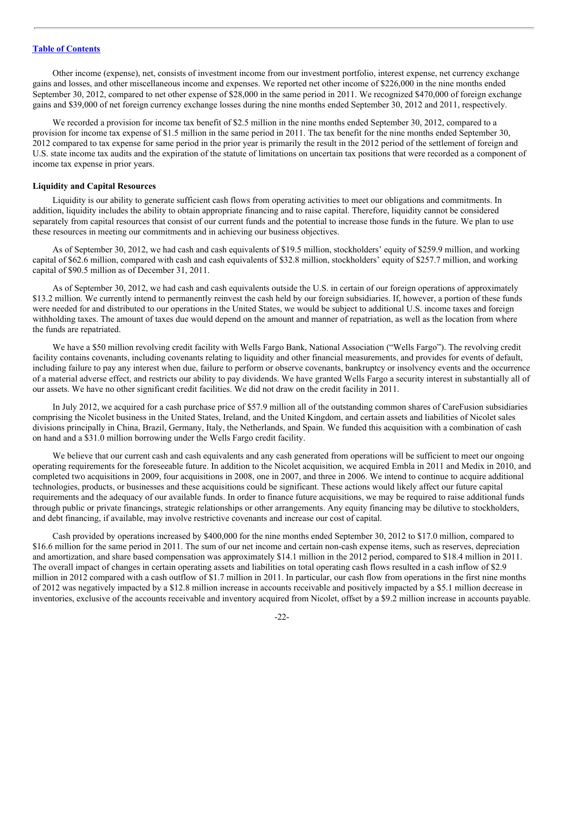Other income (expense), net, consists of investment income from our investment portfolio, interest expense, net currency exchange gains and losses, and other miscellaneous income and expenses. We reported net other income of \$226,000 in the nine months ended September 30, 2012, compared to net other expense of \$28,000 in the same period in 2011. We recognized \$470,000 of foreign exchange gains and \$39,000 of net foreign currency exchange losses during the nine months ended September 30, 2012 and 2011, respectively.

We recorded a provision for income tax benefit of \$2.5 million in the nine months ended September 30, 2012, compared to a provision for income tax expense of \$1.5 million in the same period in 2011. The tax benefit for the nine months ended September 30, 2012 compared to tax expense for same period in the prior year is primarily the result in the 2012 period of the settlement of foreign and U.S. state income tax audits and the expiration of the statute of limitations on uncertain tax positions that were recorded as a component of income tax expense in prior years.

#### **Liquidity and Capital Resources**

Liquidity is our ability to generate sufficient cash flows from operating activities to meet our obligations and commitments. In addition, liquidity includes the ability to obtain appropriate financing and to raise capital. Therefore, liquidity cannot be considered separately from capital resources that consist of our current funds and the potential to increase those funds in the future. We plan to use these resources in meeting our commitments and in achieving our business objectives.

As of September 30, 2012, we had cash and cash equivalents of \$19.5 million, stockholders' equity of \$259.9 million, and working capital of \$62.6 million, compared with cash and cash equivalents of \$32.8 million, stockholders' equity of \$257.7 million, and working capital of \$90.5 million as of December 31, 2011.

As of September 30, 2012, we had cash and cash equivalents outside the U.S. in certain of our foreign operations of approximately \$13.2 million. We currently intend to permanently reinvest the cash held by our foreign subsidiaries. If, however, a portion of these funds were needed for and distributed to our operations in the United States, we would be subject to additional U.S. income taxes and foreign withholding taxes. The amount of taxes due would depend on the amount and manner of repatriation, as well as the location from where the funds are repatriated.

We have a \$50 million revolving credit facility with Wells Fargo Bank, National Association ("Wells Fargo"). The revolving credit facility contains covenants, including covenants relating to liquidity and other financial measurements, and provides for events of default, including failure to pay any interest when due, failure to perform or observe covenants, bankruptcy or insolvency events and the occurrence of a material adverse effect, and restricts our ability to pay dividends. We have granted Wells Fargo a security interest in substantially all of our assets. We have no other significant credit facilities. We did not draw on the credit facility in 2011.

In July 2012, we acquired for a cash purchase price of \$57.9 million all of the outstanding common shares of CareFusion subsidiaries comprising the Nicolet business in the United States, Ireland, and the United Kingdom, and certain assets and liabilities of Nicolet sales divisions principally in China, Brazil, Germany, Italy, the Netherlands, and Spain. We funded this acquisition with a combination of cash on hand and a \$31.0 million borrowing under the Wells Fargo credit facility.

We believe that our current cash and cash equivalents and any cash generated from operations will be sufficient to meet our ongoing operating requirements for the foreseeable future. In addition to the Nicolet acquisition, we acquired Embla in 2011 and Medix in 2010, and completed two acquisitions in 2009, four acquisitions in 2008, one in 2007, and three in 2006. We intend to continue to acquire additional technologies, products, or businesses and these acquisitions could be significant. These actions would likely affect our future capital requirements and the adequacy of our available funds. In order to finance future acquisitions, we may be required to raise additional funds through public or private financings, strategic relationships or other arrangements. Any equity financing may be dilutive to stockholders, and debt financing, if available, may involve restrictive covenants and increase our cost of capital.

Cash provided by operations increased by \$400,000 for the nine months ended September 30, 2012 to \$17.0 million, compared to \$16.6 million for the same period in 2011. The sum of our net income and certain non-cash expense items, such as reserves, depreciation and amortization, and share based compensation was approximately \$14.1 million in the 2012 period, compared to \$18.4 million in 2011. The overall impact of changes in certain operating assets and liabilities on total operating cash flows resulted in a cash inflow of \$2.9 million in 2012 compared with a cash outflow of \$1.7 million in 2011. In particular, our cash flow from operations in the first nine months of 2012 was negatively impacted by a \$12.8 million increase in accounts receivable and positively impacted by a \$5.1 million decrease in inventories, exclusive of the accounts receivable and inventory acquired from Nicolet, offset by a \$9.2 million increase in accounts payable.

 $-22-$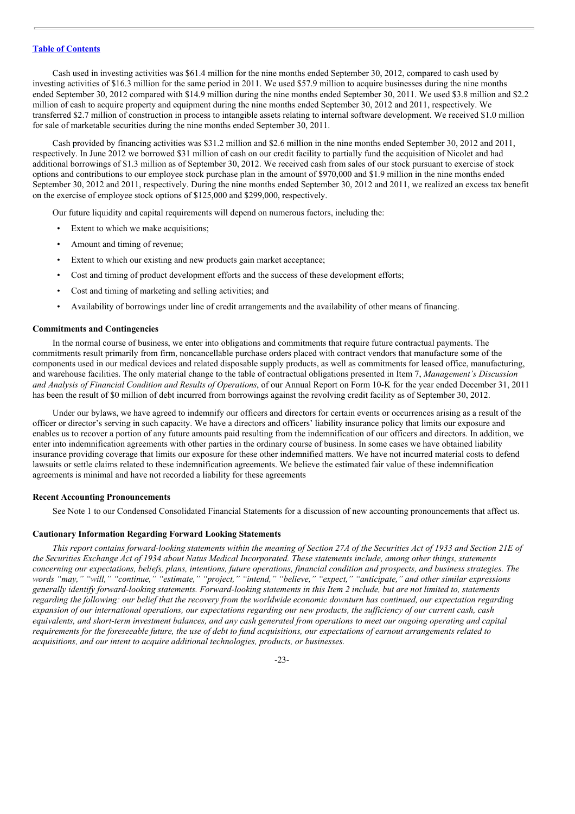Cash used in investing activities was \$61.4 million for the nine months ended September 30, 2012, compared to cash used by investing activities of \$16.3 million for the same period in 2011. We used \$57.9 million to acquire businesses during the nine months ended September 30, 2012 compared with \$14.9 million during the nine months ended September 30, 2011. We used \$3.8 million and \$2.2 million of cash to acquire property and equipment during the nine months ended September 30, 2012 and 2011, respectively. We transferred \$2.7 million of construction in process to intangible assets relating to internal software development. We received \$1.0 million for sale of marketable securities during the nine months ended September 30, 2011.

Cash provided by financing activities was \$31.2 million and \$2.6 million in the nine months ended September 30, 2012 and 2011, respectively. In June 2012 we borrowed \$31 million of cash on our credit facility to partially fund the acquisition of Nicolet and had additional borrowings of \$1.3 million as of September 30, 2012. We received cash from sales of our stock pursuant to exercise of stock options and contributions to our employee stock purchase plan in the amount of \$970,000 and \$1.9 million in the nine months ended September 30, 2012 and 2011, respectively. During the nine months ended September 30, 2012 and 2011, we realized an excess tax benefit on the exercise of employee stock options of \$125,000 and \$299,000, respectively.

Our future liquidity and capital requirements will depend on numerous factors, including the:

- Extent to which we make acquisitions:
- Amount and timing of revenue;
- Extent to which our existing and new products gain market acceptance;
- Cost and timing of product development efforts and the success of these development efforts;
- Cost and timing of marketing and selling activities; and
- Availability of borrowings under line of credit arrangements and the availability of other means of financing.

#### **Commitments and Contingencies**

In the normal course of business, we enter into obligations and commitments that require future contractual payments. The commitments result primarily from firm, noncancellable purchase orders placed with contract vendors that manufacture some of the components used in our medical devices and related disposable supply products, as well as commitments for leased office, manufacturing, and warehouse facilities. The only material change to the table of contractual obligations presented in Item 7, *Management's Discussion and Analysis of Financial Condition and Results of Operations*, of our Annual Report on Form 10-K for the year ended December 31, 2011 has been the result of \$0 million of debt incurred from borrowings against the revolving credit facility as of September 30, 2012.

Under our bylaws, we have agreed to indemnify our officers and directors for certain events or occurrences arising as a result of the officer or director's serving in such capacity. We have a directors and officers' liability insurance policy that limits our exposure and enables us to recover a portion of any future amounts paid resulting from the indemnification of our officers and directors. In addition, we enter into indemnification agreements with other parties in the ordinary course of business. In some cases we have obtained liability insurance providing coverage that limits our exposure for these other indemnified matters. We have not incurred material costs to defend lawsuits or settle claims related to these indemnification agreements. We believe the estimated fair value of these indemnification agreements is minimal and have not recorded a liability for these agreements

#### **Recent Accounting Pronouncements**

See Note 1 to our Condensed Consolidated Financial Statements for a discussion of new accounting pronouncements that affect us.

### **Cautionary Information Regarding Forward Looking Statements**

This report contains forward-looking statements within the meaning of Section 27A of the Securities Act of 1933 and Section 21E of the Securities Exchange Act of 1934 about Natus Medical Incorporated. These statements include, among other things, statements concerning our expectations, beliefs, plans, intentions, future operations, financial condition and prospects, and business strategies. The words "may," "will," "continue," "estimate," "project," "intend," "believe," "expect," "anticipate," and other similar expressions generally identify forward-looking statements. Forward-looking statements in this Item 2 include, but are not limited to, statements regarding the following: our belief that the recovery from the worldwide economic downturn has continued, our expectation regarding expansion of our international operations, our expectations regarding our new products, the sufficiency of our current cash, cash equivalents, and short-term investment balances, and any cash generated from operations to meet our ongoing operating and capital requirements for the foreseeable future, the use of debt to fund acquisitions, our expectations of earnout arrangements related to *acquisitions, and our intent to acquire additional technologies, products, or businesses.*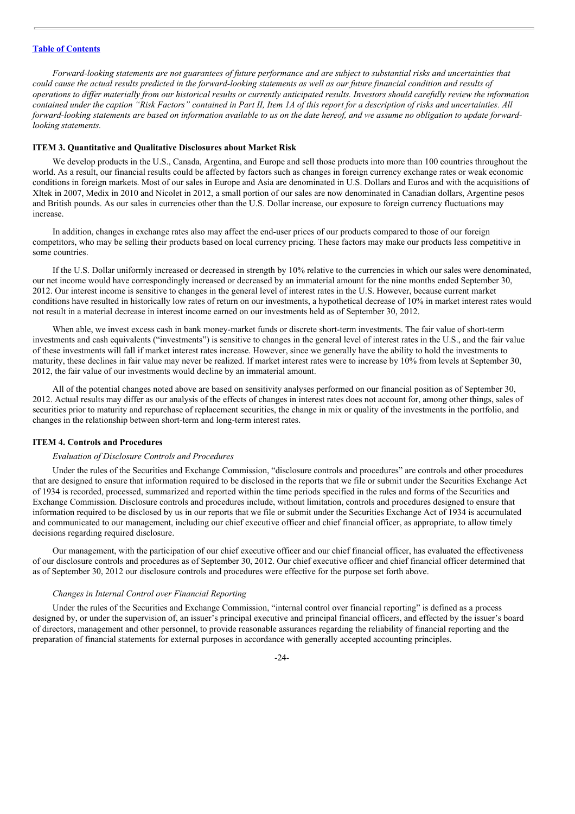Forward-looking statements are not guarantees of future performance and are subject to substantial risks and uncertainties that could cause the actual results predicted in the forward-looking statements as well as our future financial condition and results of operations to differ materially from our historical results or currently anticipated results. Investors should carefully review the information contained under the caption "Risk Factors" contained in Part II, Item 1A of this report for a description of risks and uncertainties. All forward-looking statements are based on information available to us on the date hereof, and we assume no obligation to update forward*looking statements.*

#### **ITEM 3. Quantitative and Qualitative Disclosures about Market Risk**

We develop products in the U.S., Canada, Argentina, and Europe and sell those products into more than 100 countries throughout the world. As a result, our financial results could be affected by factors such as changes in foreign currency exchange rates or weak economic conditions in foreign markets. Most of our sales in Europe and Asia are denominated in U.S. Dollars and Euros and with the acquisitions of Xltek in 2007, Medix in 2010 and Nicolet in 2012, a small portion of our sales are now denominated in Canadian dollars, Argentine pesos and British pounds. As our sales in currencies other than the U.S. Dollar increase, our exposure to foreign currency fluctuations may increase.

In addition, changes in exchange rates also may affect the end-user prices of our products compared to those of our foreign competitors, who may be selling their products based on local currency pricing. These factors may make our products less competitive in some countries.

If the U.S. Dollar uniformly increased or decreased in strength by 10% relative to the currencies in which our sales were denominated, our net income would have correspondingly increased or decreased by an immaterial amount for the nine months ended September 30, 2012. Our interest income is sensitive to changes in the general level of interest rates in the U.S. However, because current market conditions have resulted in historically low rates of return on our investments, a hypothetical decrease of 10% in market interest rates would not result in a material decrease in interest income earned on our investments held as of September 30, 2012.

When able, we invest excess cash in bank money-market funds or discrete short-term investments. The fair value of short-term investments and cash equivalents ("investments") is sensitive to changes in the general level of interest rates in the U.S., and the fair value of these investments will fall if market interest rates increase. However, since we generally have the ability to hold the investments to maturity, these declines in fair value may never be realized. If market interest rates were to increase by 10% from levels at September 30, 2012, the fair value of our investments would decline by an immaterial amount.

All of the potential changes noted above are based on sensitivity analyses performed on our financial position as of September 30, 2012. Actual results may differ as our analysis of the effects of changes in interest rates does not account for, among other things, sales of securities prior to maturity and repurchase of replacement securities, the change in mix or quality of the investments in the portfolio, and changes in the relationship between short-term and long-term interest rates.

#### **ITEM 4. Controls and Procedures**

#### <span id="page-23-0"></span>*Evaluation of Disclosure Controls and Procedures*

Under the rules of the Securities and Exchange Commission, "disclosure controls and procedures" are controls and other procedures that are designed to ensure that information required to be disclosed in the reports that we file or submit under the Securities Exchange Act of 1934 is recorded, processed, summarized and reported within the time periods specified in the rules and forms of the Securities and Exchange Commission. Disclosure controls and procedures include, without limitation, controls and procedures designed to ensure that information required to be disclosed by us in our reports that we file or submit under the Securities Exchange Act of 1934 is accumulated and communicated to our management, including our chief executive officer and chief financial officer, as appropriate, to allow timely decisions regarding required disclosure.

Our management, with the participation of our chief executive officer and our chief financial officer, has evaluated the effectiveness of our disclosure controls and procedures as of September 30, 2012. Our chief executive officer and chief financial officer determined that as of September 30, 2012 our disclosure controls and procedures were effective for the purpose set forth above.

#### *Changes in Internal Control over Financial Reporting*

Under the rules of the Securities and Exchange Commission, "internal control over financial reporting" is defined as a process designed by, or under the supervision of, an issuer's principal executive and principal financial officers, and effected by the issuer's board of directors, management and other personnel, to provide reasonable assurances regarding the reliability of financial reporting and the preparation of financial statements for external purposes in accordance with generally accepted accounting principles.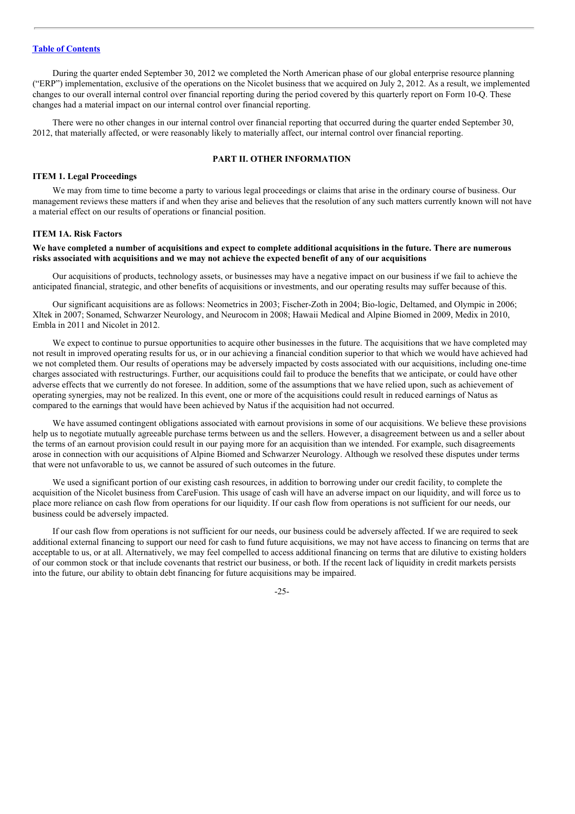During the quarter ended September 30, 2012 we completed the North American phase of our global enterprise resource planning ("ERP") implementation, exclusive of the operations on the Nicolet business that we acquired on July 2, 2012. As a result, we implemented changes to our overall internal control over financial reporting during the period covered by this quarterly report on Form 10-Q. These changes had a material impact on our internal control over financial reporting.

There were no other changes in our internal control over financial reporting that occurred during the quarter ended September 30, 2012, that materially affected, or were reasonably likely to materially affect, our internal control over financial reporting.

### **PART II. OTHER INFORMATION**

#### **ITEM 1. Legal Proceedings**

We may from time to time become a party to various legal proceedings or claims that arise in the ordinary course of business. Our management reviews these matters if and when they arise and believes that the resolution of any such matters currently known will not have a material effect on our results of operations or financial position.

### **ITEM 1A. Risk Factors**

### We have completed a number of acquisitions and expect to complete additional acquisitions in the future. There are numerous **risks associated with acquisitions and we may not achieve the expected benefit of any of our acquisitions**

Our acquisitions of products, technology assets, or businesses may have a negative impact on our business if we fail to achieve the anticipated financial, strategic, and other benefits of acquisitions or investments, and our operating results may suffer because of this.

Our significant acquisitions are as follows: Neometrics in 2003; Fischer-Zoth in 2004; Bio-logic, Deltamed, and Olympic in 2006; Xltek in 2007; Sonamed, Schwarzer Neurology, and Neurocom in 2008; Hawaii Medical and Alpine Biomed in 2009, Medix in 2010, Embla in 2011 and Nicolet in 2012.

We expect to continue to pursue opportunities to acquire other businesses in the future. The acquisitions that we have completed may not result in improved operating results for us, or in our achieving a financial condition superior to that which we would have achieved had we not completed them. Our results of operations may be adversely impacted by costs associated with our acquisitions, including one-time charges associated with restructurings. Further, our acquisitions could fail to produce the benefits that we anticipate, or could have other adverse effects that we currently do not foresee. In addition, some of the assumptions that we have relied upon, such as achievement of operating synergies, may not be realized. In this event, one or more of the acquisitions could result in reduced earnings of Natus as compared to the earnings that would have been achieved by Natus if the acquisition had not occurred.

We have assumed contingent obligations associated with earnout provisions in some of our acquisitions. We believe these provisions help us to negotiate mutually agreeable purchase terms between us and the sellers. However, a disagreement between us and a seller about the terms of an earnout provision could result in our paying more for an acquisition than we intended. For example, such disagreements arose in connection with our acquisitions of Alpine Biomed and Schwarzer Neurology. Although we resolved these disputes under terms that were not unfavorable to us, we cannot be assured of such outcomes in the future.

We used a significant portion of our existing cash resources, in addition to borrowing under our credit facility, to complete the acquisition of the Nicolet business from CareFusion. This usage of cash will have an adverse impact on our liquidity, and will force us to place more reliance on cash flow from operations for our liquidity. If our cash flow from operations is not sufficient for our needs, our business could be adversely impacted.

If our cash flow from operations is not sufficient for our needs, our business could be adversely affected. If we are required to seek additional external financing to support our need for cash to fund future acquisitions, we may not have access to financing on terms that are acceptable to us, or at all. Alternatively, we may feel compelled to access additional financing on terms that are dilutive to existing holders of our common stock or that include covenants that restrict our business, or both. If the recent lack of liquidity in credit markets persists into the future, our ability to obtain debt financing for future acquisitions may be impaired.

#### -25-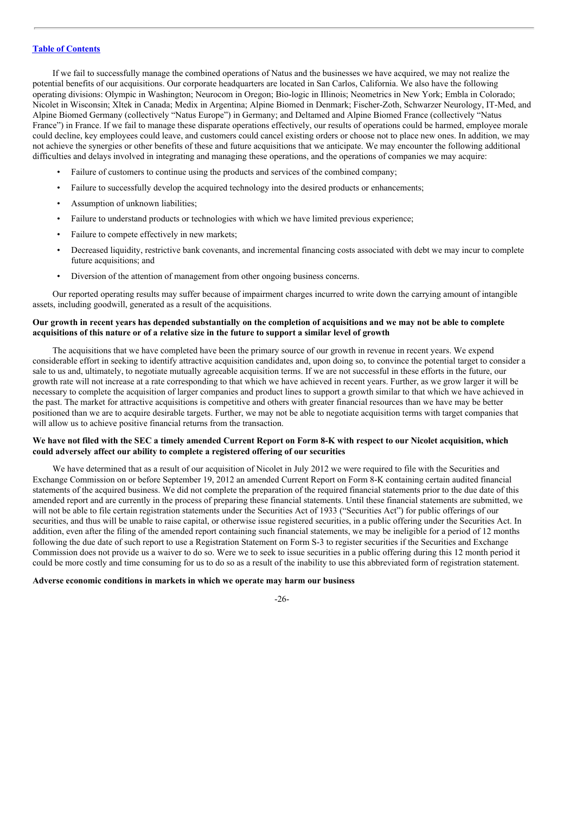If we fail to successfully manage the combined operations of Natus and the businesses we have acquired, we may not realize the potential benefits of our acquisitions. Our corporate headquarters are located in San Carlos, California. We also have the following operating divisions: Olympic in Washington; Neurocom in Oregon; Bio-logic in Illinois; Neometrics in New York; Embla in Colorado; Nicolet in Wisconsin; Xltek in Canada; Medix in Argentina; Alpine Biomed in Denmark; Fischer-Zoth, Schwarzer Neurology, IT-Med, and Alpine Biomed Germany (collectively "Natus Europe") in Germany; and Deltamed and Alpine Biomed France (collectively "Natus France") in France. If we fail to manage these disparate operations effectively, our results of operations could be harmed, employee morale could decline, key employees could leave, and customers could cancel existing orders or choose not to place new ones. In addition, we may not achieve the synergies or other benefits of these and future acquisitions that we anticipate. We may encounter the following additional difficulties and delays involved in integrating and managing these operations, and the operations of companies we may acquire:

- Failure of customers to continue using the products and services of the combined company;
- Failure to successfully develop the acquired technology into the desired products or enhancements;
- Assumption of unknown liabilities;
- Failure to understand products or technologies with which we have limited previous experience;
- Failure to compete effectively in new markets;
- Decreased liquidity, restrictive bank covenants, and incremental financing costs associated with debt we may incur to complete future acquisitions; and
- Diversion of the attention of management from other ongoing business concerns.

Our reported operating results may suffer because of impairment charges incurred to write down the carrying amount of intangible assets, including goodwill, generated as a result of the acquisitions.

### Our growth in recent years has depended substantially on the completion of acquisitions and we may not be able to complete acquisitions of this nature or of a relative size in the future to support a similar level of growth

The acquisitions that we have completed have been the primary source of our growth in revenue in recent years. We expend considerable effort in seeking to identify attractive acquisition candidates and, upon doing so, to convince the potential target to consider a sale to us and, ultimately, to negotiate mutually agreeable acquisition terms. If we are not successful in these efforts in the future, our growth rate will not increase at a rate corresponding to that which we have achieved in recent years. Further, as we grow larger it will be necessary to complete the acquisition of larger companies and product lines to support a growth similar to that which we have achieved in the past. The market for attractive acquisitions is competitive and others with greater financial resources than we have may be better positioned than we are to acquire desirable targets. Further, we may not be able to negotiate acquisition terms with target companies that will allow us to achieve positive financial returns from the transaction.

### We have not filed with the SEC a timely amended Current Report on Form 8-K with respect to our Nicolet acquisition, which **could adversely affect our ability to complete a registered offering of our securities**

We have determined that as a result of our acquisition of Nicolet in July 2012 we were required to file with the Securities and Exchange Commission on or before September 19, 2012 an amended Current Report on Form 8-K containing certain audited financial statements of the acquired business. We did not complete the preparation of the required financial statements prior to the due date of this amended report and are currently in the process of preparing these financial statements. Until these financial statements are submitted, we will not be able to file certain registration statements under the Securities Act of 1933 ("Securities Act") for public offerings of our securities, and thus will be unable to raise capital, or otherwise issue registered securities, in a public offering under the Securities Act. In addition, even after the filing of the amended report containing such financial statements, we may be ineligible for a period of 12 months following the due date of such report to use a Registration Statement on Form S-3 to register securities if the Securities and Exchange Commission does not provide us a waiver to do so. Were we to seek to issue securities in a public offering during this 12 month period it could be more costly and time consuming for us to do so as a result of the inability to use this abbreviated form of registration statement.

### **Adverse economic conditions in markets in which we operate may harm our business**

$$
-26-
$$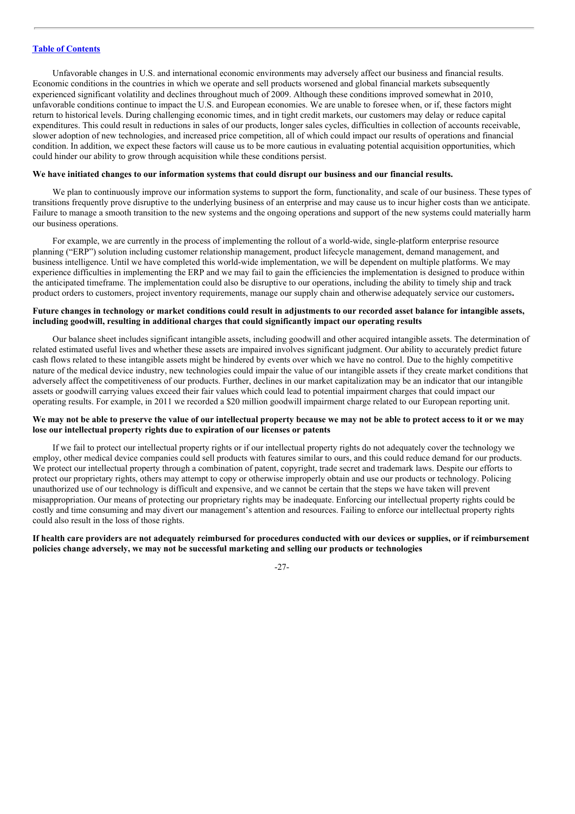Unfavorable changes in U.S. and international economic environments may adversely affect our business and financial results. Economic conditions in the countries in which we operate and sell products worsened and global financial markets subsequently experienced significant volatility and declines throughout much of 2009. Although these conditions improved somewhat in 2010, unfavorable conditions continue to impact the U.S. and European economies. We are unable to foresee when, or if, these factors might return to historical levels. During challenging economic times, and in tight credit markets, our customers may delay or reduce capital expenditures. This could result in reductions in sales of our products, longer sales cycles, difficulties in collection of accounts receivable, slower adoption of new technologies, and increased price competition, all of which could impact our results of operations and financial condition. In addition, we expect these factors will cause us to be more cautious in evaluating potential acquisition opportunities, which could hinder our ability to grow through acquisition while these conditions persist.

#### We have initiated changes to our information systems that could disrupt our business and our financial results.

We plan to continuously improve our information systems to support the form, functionality, and scale of our business. These types of transitions frequently prove disruptive to the underlying business of an enterprise and may cause us to incur higher costs than we anticipate. Failure to manage a smooth transition to the new systems and the ongoing operations and support of the new systems could materially harm our business operations.

For example, we are currently in the process of implementing the rollout of a world-wide, single-platform enterprise resource planning ("ERP") solution including customer relationship management, product lifecycle management, demand management, and business intelligence. Until we have completed this world-wide implementation, we will be dependent on multiple platforms. We may experience difficulties in implementing the ERP and we may fail to gain the efficiencies the implementation is designed to produce within the anticipated timeframe. The implementation could also be disruptive to our operations, including the ability to timely ship and track product orders to customers, project inventory requirements, manage our supply chain and otherwise adequately service our customers**.**

### Future changes in technology or market conditions could result in adjustments to our recorded asset balance for intangible assets, **including goodwill, resulting in additional charges that could significantly impact our operating results**

Our balance sheet includes significant intangible assets, including goodwill and other acquired intangible assets. The determination of related estimated useful lives and whether these assets are impaired involves significant judgment. Our ability to accurately predict future cash flows related to these intangible assets might be hindered by events over which we have no control. Due to the highly competitive nature of the medical device industry, new technologies could impair the value of our intangible assets if they create market conditions that adversely affect the competitiveness of our products. Further, declines in our market capitalization may be an indicator that our intangible assets or goodwill carrying values exceed their fair values which could lead to potential impairment charges that could impact our operating results. For example, in 2011 we recorded a \$20 million goodwill impairment charge related to our European reporting unit.

### We may not be able to preserve the value of our intellectual property because we may not be able to protect access to it or we may **lose our intellectual property rights due to expiration of our licenses or patents**

If we fail to protect our intellectual property rights or if our intellectual property rights do not adequately cover the technology we employ, other medical device companies could sell products with features similar to ours, and this could reduce demand for our products. We protect our intellectual property through a combination of patent, copyright, trade secret and trademark laws. Despite our efforts to protect our proprietary rights, others may attempt to copy or otherwise improperly obtain and use our products or technology. Policing unauthorized use of our technology is difficult and expensive, and we cannot be certain that the steps we have taken will prevent misappropriation. Our means of protecting our proprietary rights may be inadequate. Enforcing our intellectual property rights could be costly and time consuming and may divert our management's attention and resources. Failing to enforce our intellectual property rights could also result in the loss of those rights.

### If health care providers are not adequately reimbursed for procedures conducted with our devices or supplies, or if reimbursement **policies change adversely, we may not be successful marketing and selling our products or technologies**

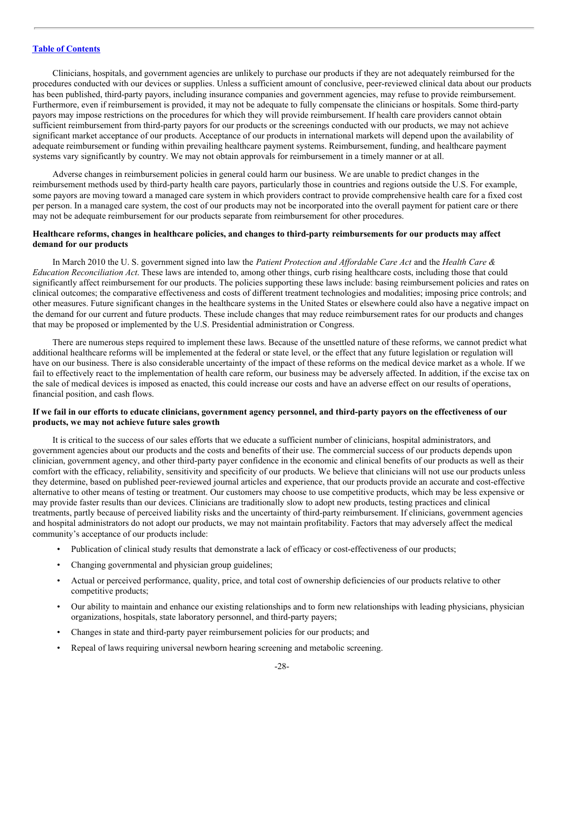Clinicians, hospitals, and government agencies are unlikely to purchase our products if they are not adequately reimbursed for the procedures conducted with our devices or supplies. Unless a sufficient amount of conclusive, peer-reviewed clinical data about our products has been published, third-party payors, including insurance companies and government agencies, may refuse to provide reimbursement. Furthermore, even if reimbursement is provided, it may not be adequate to fully compensate the clinicians or hospitals. Some third-party payors may impose restrictions on the procedures for which they will provide reimbursement. If health care providers cannot obtain sufficient reimbursement from third-party payors for our products or the screenings conducted with our products, we may not achieve significant market acceptance of our products. Acceptance of our products in international markets will depend upon the availability of adequate reimbursement or funding within prevailing healthcare payment systems. Reimbursement, funding, and healthcare payment systems vary significantly by country. We may not obtain approvals for reimbursement in a timely manner or at all.

Adverse changes in reimbursement policies in general could harm our business. We are unable to predict changes in the reimbursement methods used by third-party health care payors, particularly those in countries and regions outside the U.S. For example, some payors are moving toward a managed care system in which providers contract to provide comprehensive health care for a fixed cost per person. In a managed care system, the cost of our products may not be incorporated into the overall payment for patient care or there may not be adequate reimbursement for our products separate from reimbursement for other procedures.

### Healthcare reforms, changes in healthcare policies, and changes to third-party reimbursements for our products may affect **demand for our products**

In March 2010 the U. S. government signed into law the *Patient Protection and Affordable Care Act* and the *Health Care & Education Reconciliation Act*. These laws are intended to, among other things, curb rising healthcare costs, including those that could significantly affect reimbursement for our products. The policies supporting these laws include: basing reimbursement policies and rates on clinical outcomes; the comparative effectiveness and costs of different treatment technologies and modalities; imposing price controls; and other measures. Future significant changes in the healthcare systems in the United States or elsewhere could also have a negative impact on the demand for our current and future products. These include changes that may reduce reimbursement rates for our products and changes that may be proposed or implemented by the U.S. Presidential administration or Congress.

There are numerous steps required to implement these laws. Because of the unsettled nature of these reforms, we cannot predict what additional healthcare reforms will be implemented at the federal or state level, or the effect that any future legislation or regulation will have on our business. There is also considerable uncertainty of the impact of these reforms on the medical device market as a whole. If we fail to effectively react to the implementation of health care reform, our business may be adversely affected. In addition, if the excise tax on the sale of medical devices is imposed as enacted, this could increase our costs and have an adverse effect on our results of operations, financial position, and cash flows.

### If we fail in our efforts to educate clinicians, government agency personnel, and third-party payors on the effectiveness of our **products, we may not achieve future sales growth**

It is critical to the success of our sales efforts that we educate a sufficient number of clinicians, hospital administrators, and government agencies about our products and the costs and benefits of their use. The commercial success of our products depends upon clinician, government agency, and other third-party payer confidence in the economic and clinical benefits of our products as well as their comfort with the efficacy, reliability, sensitivity and specificity of our products. We believe that clinicians will not use our products unless they determine, based on published peer-reviewed journal articles and experience, that our products provide an accurate and cost-effective alternative to other means of testing or treatment. Our customers may choose to use competitive products, which may be less expensive or may provide faster results than our devices. Clinicians are traditionally slow to adopt new products, testing practices and clinical treatments, partly because of perceived liability risks and the uncertainty of third-party reimbursement. If clinicians, government agencies and hospital administrators do not adopt our products, we may not maintain profitability. Factors that may adversely affect the medical community's acceptance of our products include:

- Publication of clinical study results that demonstrate a lack of efficacy or cost-effectiveness of our products;
- Changing governmental and physician group guidelines;
- Actual or perceived performance, quality, price, and total cost of ownership deficiencies of our products relative to other competitive products;
- Our ability to maintain and enhance our existing relationships and to form new relationships with leading physicians, physician organizations, hospitals, state laboratory personnel, and third-party payers;
- Changes in state and third-party payer reimbursement policies for our products; and
- Repeal of laws requiring universal newborn hearing screening and metabolic screening.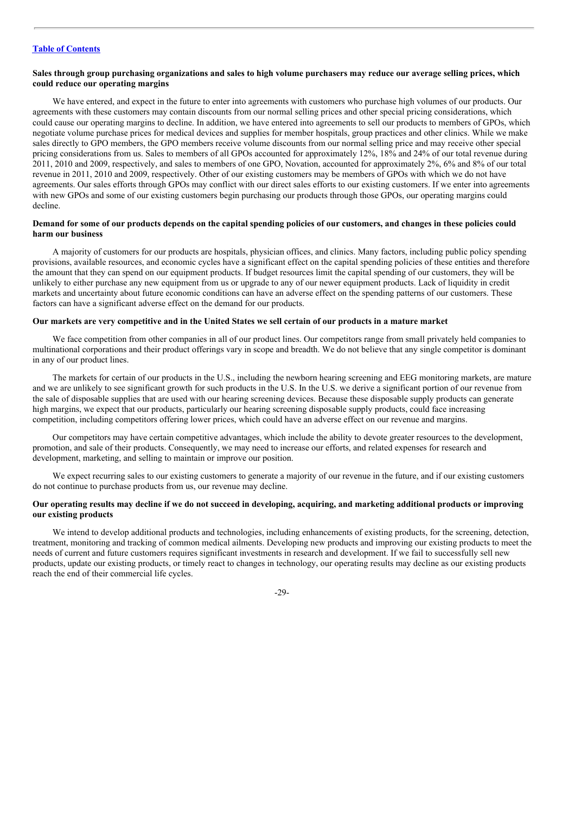### Sales through group purchasing organizations and sales to high volume purchasers may reduce our average selling prices, which **could reduce our operating margins**

We have entered, and expect in the future to enter into agreements with customers who purchase high volumes of our products. Our agreements with these customers may contain discounts from our normal selling prices and other special pricing considerations, which could cause our operating margins to decline. In addition, we have entered into agreements to sell our products to members of GPOs, which negotiate volume purchase prices for medical devices and supplies for member hospitals, group practices and other clinics. While we make sales directly to GPO members, the GPO members receive volume discounts from our normal selling price and may receive other special pricing considerations from us. Sales to members of all GPOs accounted for approximately 12%, 18% and 24% of our total revenue during 2011, 2010 and 2009, respectively, and sales to members of one GPO, Novation, accounted for approximately 2%, 6% and 8% of our total revenue in 2011, 2010 and 2009, respectively. Other of our existing customers may be members of GPOs with which we do not have agreements. Our sales efforts through GPOs may conflict with our direct sales efforts to our existing customers. If we enter into agreements with new GPOs and some of our existing customers begin purchasing our products through those GPOs, our operating margins could decline.

### Demand for some of our products depends on the capital spending policies of our customers, and changes in these policies could **harm our business**

A majority of customers for our products are hospitals, physician offices, and clinics. Many factors, including public policy spending provisions, available resources, and economic cycles have a significant effect on the capital spending policies of these entities and therefore the amount that they can spend on our equipment products. If budget resources limit the capital spending of our customers, they will be unlikely to either purchase any new equipment from us or upgrade to any of our newer equipment products. Lack of liquidity in credit markets and uncertainty about future economic conditions can have an adverse effect on the spending patterns of our customers. These factors can have a significant adverse effect on the demand for our products.

## Our markets are very competitive and in the United States we sell certain of our products in a mature market

We face competition from other companies in all of our product lines. Our competitors range from small privately held companies to multinational corporations and their product offerings vary in scope and breadth. We do not believe that any single competitor is dominant in any of our product lines.

The markets for certain of our products in the U.S., including the newborn hearing screening and EEG monitoring markets, are mature and we are unlikely to see significant growth for such products in the U.S. In the U.S. we derive a significant portion of our revenue from the sale of disposable supplies that are used with our hearing screening devices. Because these disposable supply products can generate high margins, we expect that our products, particularly our hearing screening disposable supply products, could face increasing competition, including competitors offering lower prices, which could have an adverse effect on our revenue and margins.

Our competitors may have certain competitive advantages, which include the ability to devote greater resources to the development, promotion, and sale of their products. Consequently, we may need to increase our efforts, and related expenses for research and development, marketing, and selling to maintain or improve our position.

We expect recurring sales to our existing customers to generate a majority of our revenue in the future, and if our existing customers do not continue to purchase products from us, our revenue may decline.

### Our operating results may decline if we do not succeed in developing, acquiring, and marketing additional products or improving **our existing products**

We intend to develop additional products and technologies, including enhancements of existing products, for the screening, detection, treatment, monitoring and tracking of common medical ailments. Developing new products and improving our existing products to meet the needs of current and future customers requires significant investments in research and development. If we fail to successfully sell new products, update our existing products, or timely react to changes in technology, our operating results may decline as our existing products reach the end of their commercial life cycles.

#### -29-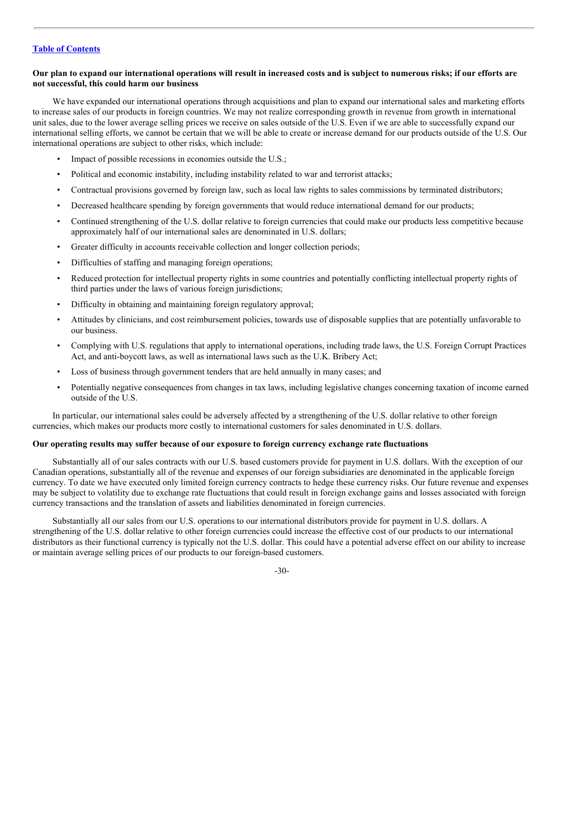### Our plan to expand our international operations will result in increased costs and is subject to numerous risks; if our efforts are **not successful, this could harm our business**

We have expanded our international operations through acquisitions and plan to expand our international sales and marketing efforts to increase sales of our products in foreign countries. We may not realize corresponding growth in revenue from growth in international unit sales, due to the lower average selling prices we receive on sales outside of the U.S. Even if we are able to successfully expand our international selling efforts, we cannot be certain that we will be able to create or increase demand for our products outside of the U.S. Our international operations are subject to other risks, which include:

- Impact of possible recessions in economies outside the U.S.;
- Political and economic instability, including instability related to war and terrorist attacks;
- Contractual provisions governed by foreign law, such as local law rights to sales commissions by terminated distributors;
- Decreased healthcare spending by foreign governments that would reduce international demand for our products;
- Continued strengthening of the U.S. dollar relative to foreign currencies that could make our products less competitive because approximately half of our international sales are denominated in U.S. dollars;
- Greater difficulty in accounts receivable collection and longer collection periods;
- Difficulties of staffing and managing foreign operations;
- Reduced protection for intellectual property rights in some countries and potentially conflicting intellectual property rights of third parties under the laws of various foreign jurisdictions;
- Difficulty in obtaining and maintaining foreign regulatory approval;
- Attitudes by clinicians, and cost reimbursement policies, towards use of disposable supplies that are potentially unfavorable to our business.
- Complying with U.S. regulations that apply to international operations, including trade laws, the U.S. Foreign Corrupt Practices Act, and anti-boycott laws, as well as international laws such as the U.K. Bribery Act;
- Loss of business through government tenders that are held annually in many cases; and
- Potentially negative consequences from changes in tax laws, including legislative changes concerning taxation of income earned outside of the U.S.

In particular, our international sales could be adversely affected by a strengthening of the U.S. dollar relative to other foreign currencies, which makes our products more costly to international customers for sales denominated in U.S. dollars.

#### **Our operating results may suffer because of our exposure to foreign currency exchange rate fluctuations**

Substantially all of our sales contracts with our U.S. based customers provide for payment in U.S. dollars. With the exception of our Canadian operations, substantially all of the revenue and expenses of our foreign subsidiaries are denominated in the applicable foreign currency. To date we have executed only limited foreign currency contracts to hedge these currency risks. Our future revenue and expenses may be subject to volatility due to exchange rate fluctuations that could result in foreign exchange gains and losses associated with foreign currency transactions and the translation of assets and liabilities denominated in foreign currencies.

Substantially all our sales from our U.S. operations to our international distributors provide for payment in U.S. dollars. A strengthening of the U.S. dollar relative to other foreign currencies could increase the effective cost of our products to our international distributors as their functional currency is typically not the U.S. dollar. This could have a potential adverse effect on our ability to increase or maintain average selling prices of our products to our foreign-based customers.

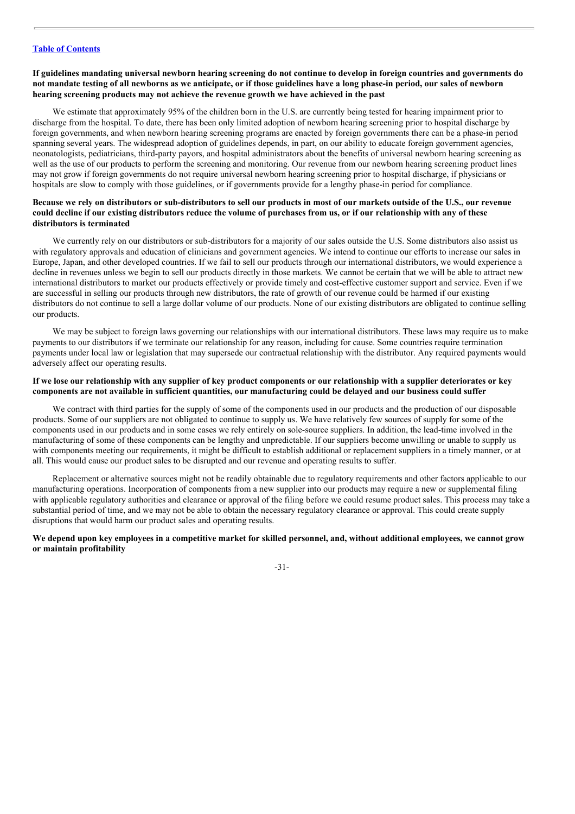### If guidelines mandating universal newborn hearing screening do not continue to develop in foreign countries and governments do not mandate testing of all newborns as we anticipate, or if those guidelines have a long phase-in period, our sales of newborn **hearing screening products may not achieve the revenue growth we have achieved in the past**

We estimate that approximately 95% of the children born in the U.S. are currently being tested for hearing impairment prior to discharge from the hospital. To date, there has been only limited adoption of newborn hearing screening prior to hospital discharge by foreign governments, and when newborn hearing screening programs are enacted by foreign governments there can be a phase-in period spanning several years. The widespread adoption of guidelines depends, in part, on our ability to educate foreign government agencies, neonatologists, pediatricians, third-party payors, and hospital administrators about the benefits of universal newborn hearing screening as well as the use of our products to perform the screening and monitoring. Our revenue from our newborn hearing screening product lines may not grow if foreign governments do not require universal newborn hearing screening prior to hospital discharge, if physicians or hospitals are slow to comply with those guidelines, or if governments provide for a lengthy phase-in period for compliance.

### Because we rely on distributors or sub-distributors to sell our products in most of our markets outside of the U.S., our revenue could decline if our existing distributors reduce the volume of purchases from us, or if our relationship with any of these **distributors is terminated**

We currently rely on our distributors or sub-distributors for a majority of our sales outside the U.S. Some distributors also assist us with regulatory approvals and education of clinicians and government agencies. We intend to continue our efforts to increase our sales in Europe, Japan, and other developed countries. If we fail to sell our products through our international distributors, we would experience a decline in revenues unless we begin to sell our products directly in those markets. We cannot be certain that we will be able to attract new international distributors to market our products effectively or provide timely and cost-effective customer support and service. Even if we are successful in selling our products through new distributors, the rate of growth of our revenue could be harmed if our existing distributors do not continue to sell a large dollar volume of our products. None of our existing distributors are obligated to continue selling our products.

We may be subject to foreign laws governing our relationships with our international distributors. These laws may require us to make payments to our distributors if we terminate our relationship for any reason, including for cause. Some countries require termination payments under local law or legislation that may supersede our contractual relationship with the distributor. Any required payments would adversely affect our operating results.

### If we lose our relationship with any supplier of key product components or our relationship with a supplier deteriorates or key components are not available in sufficient quantities, our manufacturing could be delayed and our business could suffer

We contract with third parties for the supply of some of the components used in our products and the production of our disposable products. Some of our suppliers are not obligated to continue to supply us. We have relatively few sources of supply for some of the components used in our products and in some cases we rely entirely on sole-source suppliers. In addition, the lead-time involved in the manufacturing of some of these components can be lengthy and unpredictable. If our suppliers become unwilling or unable to supply us with components meeting our requirements, it might be difficult to establish additional or replacement suppliers in a timely manner, or at all. This would cause our product sales to be disrupted and our revenue and operating results to suffer.

Replacement or alternative sources might not be readily obtainable due to regulatory requirements and other factors applicable to our manufacturing operations. Incorporation of components from a new supplier into our products may require a new or supplemental filing with applicable regulatory authorities and clearance or approval of the filing before we could resume product sales. This process may take a substantial period of time, and we may not be able to obtain the necessary regulatory clearance or approval. This could create supply disruptions that would harm our product sales and operating results.

### We depend upon key employees in a competitive market for skilled personnel, and, without additional employees, we cannot grow **or maintain profitability**

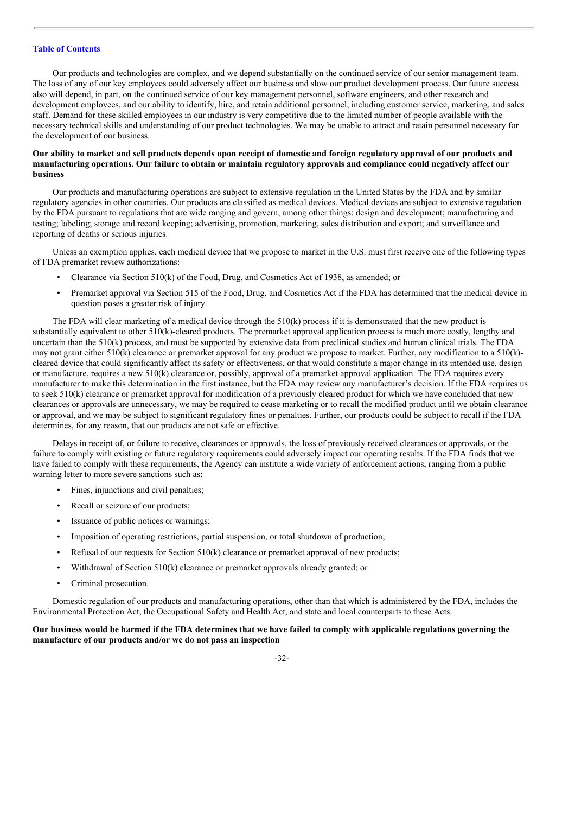Our products and technologies are complex, and we depend substantially on the continued service of our senior management team. The loss of any of our key employees could adversely affect our business and slow our product development process. Our future success also will depend, in part, on the continued service of our key management personnel, software engineers, and other research and development employees, and our ability to identify, hire, and retain additional personnel, including customer service, marketing, and sales staff. Demand for these skilled employees in our industry is very competitive due to the limited number of people available with the necessary technical skills and understanding of our product technologies. We may be unable to attract and retain personnel necessary for the development of our business.

### Our ability to market and sell products depends upon receipt of domestic and foreign regulatory approval of our products and manufacturing operations. Our failure to obtain or maintain regulatory approvals and compliance could negatively affect our **business**

Our products and manufacturing operations are subject to extensive regulation in the United States by the FDA and by similar regulatory agencies in other countries. Our products are classified as medical devices. Medical devices are subject to extensive regulation by the FDA pursuant to regulations that are wide ranging and govern, among other things: design and development; manufacturing and testing; labeling; storage and record keeping; advertising, promotion, marketing, sales distribution and export; and surveillance and reporting of deaths or serious injuries.

Unless an exemption applies, each medical device that we propose to market in the U.S. must first receive one of the following types of FDA premarket review authorizations:

- Clearance via Section 510(k) of the Food, Drug, and Cosmetics Act of 1938, as amended; or
- Premarket approval via Section 515 of the Food, Drug, and Cosmetics Act if the FDA has determined that the medical device in question poses a greater risk of injury.

The FDA will clear marketing of a medical device through the  $510(k)$  process if it is demonstrated that the new product is substantially equivalent to other 510(k)-cleared products. The premarket approval application process is much more costly, lengthy and uncertain than the 510(k) process, and must be supported by extensive data from preclinical studies and human clinical trials. The FDA may not grant either 510(k) clearance or premarket approval for any product we propose to market. Further, any modification to a 510(k) cleared device that could significantly affect its safety or effectiveness, or that would constitute a major change in its intended use, design or manufacture, requires a new 510(k) clearance or, possibly, approval of a premarket approval application. The FDA requires every manufacturer to make this determination in the first instance, but the FDA may review any manufacturer's decision. If the FDA requires us to seek 510(k) clearance or premarket approval for modification of a previously cleared product for which we have concluded that new clearances or approvals are unnecessary, we may be required to cease marketing or to recall the modified product until we obtain clearance or approval, and we may be subject to significant regulatory fines or penalties. Further, our products could be subject to recall if the FDA determines, for any reason, that our products are not safe or effective.

Delays in receipt of, or failure to receive, clearances or approvals, the loss of previously received clearances or approvals, or the failure to comply with existing or future regulatory requirements could adversely impact our operating results. If the FDA finds that we have failed to comply with these requirements, the Agency can institute a wide variety of enforcement actions, ranging from a public warning letter to more severe sanctions such as:

- Fines, injunctions and civil penalties;
- Recall or seizure of our products;
- Issuance of public notices or warnings;
- Imposition of operating restrictions, partial suspension, or total shutdown of production;
- Refusal of our requests for Section  $510(k)$  clearance or premarket approval of new products;
- Withdrawal of Section 510(k) clearance or premarket approvals already granted; or
- Criminal prosecution.

Domestic regulation of our products and manufacturing operations, other than that which is administered by the FDA, includes the Environmental Protection Act, the Occupational Safety and Health Act, and state and local counterparts to these Acts.

# Our business would be harmed if the FDA determines that we have failed to comply with applicable regulations governing the **manufacture of our products and/or we do not pass an inspection**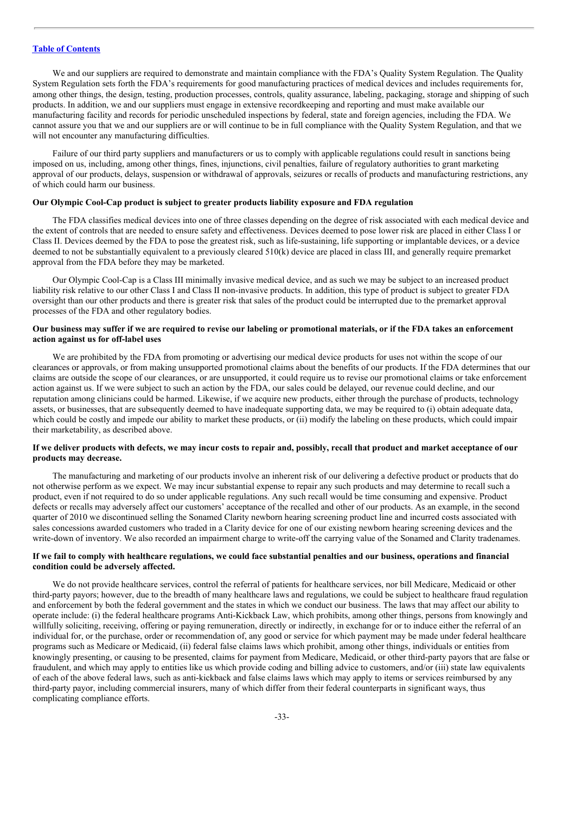We and our suppliers are required to demonstrate and maintain compliance with the FDA's Quality System Regulation. The Quality System Regulation sets forth the FDA's requirements for good manufacturing practices of medical devices and includes requirements for, among other things, the design, testing, production processes, controls, quality assurance, labeling, packaging, storage and shipping of such products. In addition, we and our suppliers must engage in extensive recordkeeping and reporting and must make available our manufacturing facility and records for periodic unscheduled inspections by federal, state and foreign agencies, including the FDA. We cannot assure you that we and our suppliers are or will continue to be in full compliance with the Quality System Regulation, and that we will not encounter any manufacturing difficulties.

Failure of our third party suppliers and manufacturers or us to comply with applicable regulations could result in sanctions being imposed on us, including, among other things, fines, injunctions, civil penalties, failure of regulatory authorities to grant marketing approval of our products, delays, suspension or withdrawal of approvals, seizures or recalls of products and manufacturing restrictions, any of which could harm our business.

#### **Our Olympic Cool-Cap product is subject to greater products liability exposure and FDA regulation**

The FDA classifies medical devices into one of three classes depending on the degree of risk associated with each medical device and the extent of controls that are needed to ensure safety and effectiveness. Devices deemed to pose lower risk are placed in either Class I or Class II. Devices deemed by the FDA to pose the greatest risk, such as life-sustaining, life supporting or implantable devices, or a device deemed to not be substantially equivalent to a previously cleared 510(k) device are placed in class III, and generally require premarket approval from the FDA before they may be marketed.

Our Olympic Cool-Cap is a Class III minimally invasive medical device, and as such we may be subject to an increased product liability risk relative to our other Class I and Class II non-invasive products. In addition, this type of product is subject to greater FDA oversight than our other products and there is greater risk that sales of the product could be interrupted due to the premarket approval processes of the FDA and other regulatory bodies.

### Our business may suffer if we are required to revise our labeling or promotional materials, or if the FDA takes an enforcement **action against us for off-label uses**

We are prohibited by the FDA from promoting or advertising our medical device products for uses not within the scope of our clearances or approvals, or from making unsupported promotional claims about the benefits of our products. If the FDA determines that our claims are outside the scope of our clearances, or are unsupported, it could require us to revise our promotional claims or take enforcement action against us. If we were subject to such an action by the FDA, our sales could be delayed, our revenue could decline, and our reputation among clinicians could be harmed. Likewise, if we acquire new products, either through the purchase of products, technology assets, or businesses, that are subsequently deemed to have inadequate supporting data, we may be required to (i) obtain adequate data, which could be costly and impede our ability to market these products, or (ii) modify the labeling on these products, which could impair their marketability, as described above.

### If we deliver products with defects, we may incur costs to repair and, possibly, recall that product and market acceptance of our **products may decrease.**

The manufacturing and marketing of our products involve an inherent risk of our delivering a defective product or products that do not otherwise perform as we expect. We may incur substantial expense to repair any such products and may determine to recall such a product, even if not required to do so under applicable regulations. Any such recall would be time consuming and expensive. Product defects or recalls may adversely affect our customers' acceptance of the recalled and other of our products. As an example, in the second quarter of 2010 we discontinued selling the Sonamed Clarity newborn hearing screening product line and incurred costs associated with sales concessions awarded customers who traded in a Clarity device for one of our existing newborn hearing screening devices and the write-down of inventory. We also recorded an impairment charge to write-off the carrying value of the Sonamed and Clarity tradenames.

### If we fail to comply with healthcare regulations, we could face substantial penalties and our business, operations and financial **condition could be adversely affected.**

We do not provide healthcare services, control the referral of patients for healthcare services, nor bill Medicare, Medicaid or other third-party payors; however, due to the breadth of many healthcare laws and regulations, we could be subject to healthcare fraud regulation and enforcement by both the federal government and the states in which we conduct our business. The laws that may affect our ability to operate include: (i) the federal healthcare programs Anti-Kickback Law, which prohibits, among other things, persons from knowingly and willfully soliciting, receiving, offering or paying remuneration, directly or indirectly, in exchange for or to induce either the referral of an individual for, or the purchase, order or recommendation of, any good or service for which payment may be made under federal healthcare programs such as Medicare or Medicaid, (ii) federal false claims laws which prohibit, among other things, individuals or entities from knowingly presenting, or causing to be presented, claims for payment from Medicare, Medicaid, or other third-party payors that are false or fraudulent, and which may apply to entities like us which provide coding and billing advice to customers, and/or (iii) state law equivalents of each of the above federal laws, such as anti-kickback and false claims laws which may apply to items or services reimbursed by any third-party payor, including commercial insurers, many of which differ from their federal counterparts in significant ways, thus complicating compliance efforts.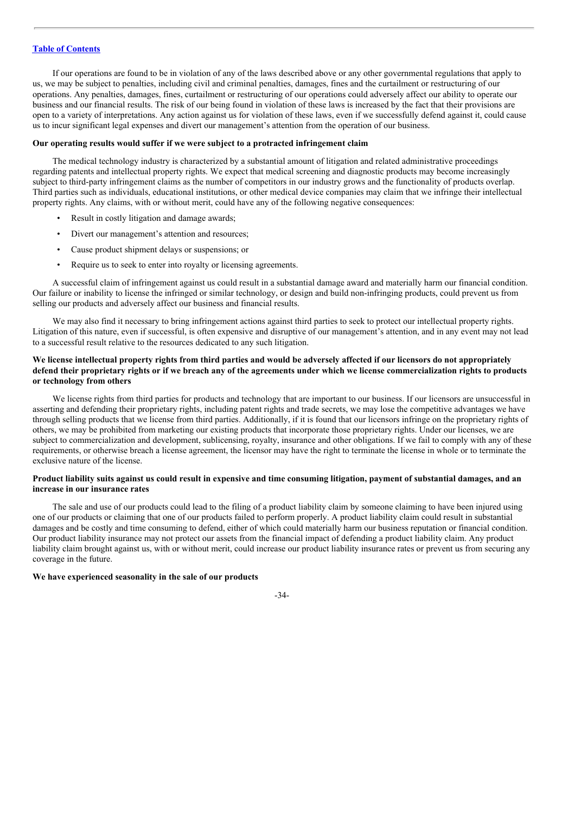If our operations are found to be in violation of any of the laws described above or any other governmental regulations that apply to us, we may be subject to penalties, including civil and criminal penalties, damages, fines and the curtailment or restructuring of our operations. Any penalties, damages, fines, curtailment or restructuring of our operations could adversely affect our ability to operate our business and our financial results. The risk of our being found in violation of these laws is increased by the fact that their provisions are open to a variety of interpretations. Any action against us for violation of these laws, even if we successfully defend against it, could cause us to incur significant legal expenses and divert our management's attention from the operation of our business.

#### **Our operating results would suffer if we were subject to a protracted infringement claim**

The medical technology industry is characterized by a substantial amount of litigation and related administrative proceedings regarding patents and intellectual property rights. We expect that medical screening and diagnostic products may become increasingly subject to third-party infringement claims as the number of competitors in our industry grows and the functionality of products overlap. Third parties such as individuals, educational institutions, or other medical device companies may claim that we infringe their intellectual property rights. Any claims, with or without merit, could have any of the following negative consequences:

- Result in costly litigation and damage awards;
- Divert our management's attention and resources;
- Cause product shipment delays or suspensions; or
- Require us to seek to enter into royalty or licensing agreements.

A successful claim of infringement against us could result in a substantial damage award and materially harm our financial condition. Our failure or inability to license the infringed or similar technology, or design and build non-infringing products, could prevent us from selling our products and adversely affect our business and financial results.

We may also find it necessary to bring infringement actions against third parties to seek to protect our intellectual property rights. Litigation of this nature, even if successful, is often expensive and disruptive of our management's attention, and in any event may not lead to a successful result relative to the resources dedicated to any such litigation.

### We license intellectual property rights from third parties and would be adversely affected if our licensors do not appropriately defend their proprietary rights or if we breach any of the agreements under which we license commercialization rights to products **or technology from others**

We license rights from third parties for products and technology that are important to our business. If our licensors are unsuccessful in asserting and defending their proprietary rights, including patent rights and trade secrets, we may lose the competitive advantages we have through selling products that we license from third parties. Additionally, if it is found that our licensors infringe on the proprietary rights of others, we may be prohibited from marketing our existing products that incorporate those proprietary rights. Under our licenses, we are subject to commercialization and development, sublicensing, royalty, insurance and other obligations. If we fail to comply with any of these requirements, or otherwise breach a license agreement, the licensor may have the right to terminate the license in whole or to terminate the exclusive nature of the license.

### Product liability suits against us could result in expensive and time consuming litigation, payment of substantial damages, and an **increase in our insurance rates**

The sale and use of our products could lead to the filing of a product liability claim by someone claiming to have been injured using one of our products or claiming that one of our products failed to perform properly. A product liability claim could result in substantial damages and be costly and time consuming to defend, either of which could materially harm our business reputation or financial condition. Our product liability insurance may not protect our assets from the financial impact of defending a product liability claim. Any product liability claim brought against us, with or without merit, could increase our product liability insurance rates or prevent us from securing any coverage in the future.

### **We have experienced seasonality in the sale of our products**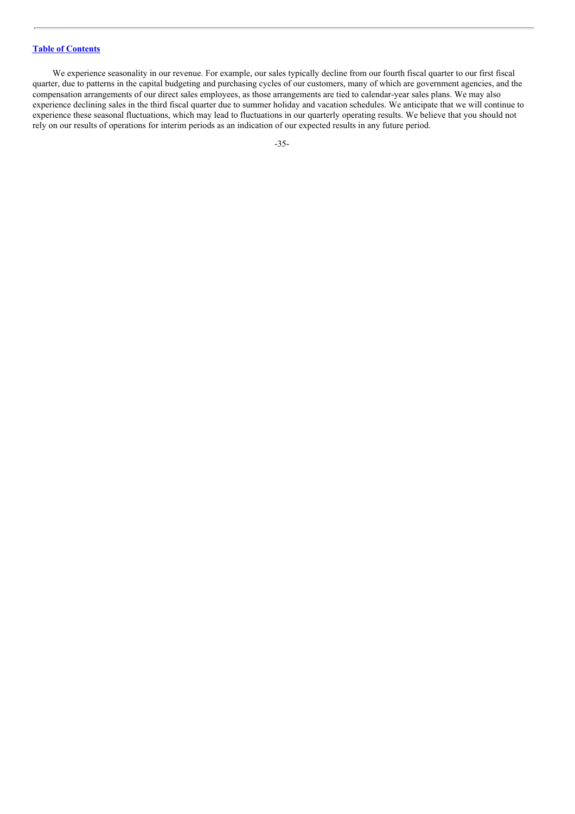We experience seasonality in our revenue. For example, our sales typically decline from our fourth fiscal quarter to our first fiscal quarter, due to patterns in the capital budgeting and purchasing cycles of our customers, many of which are government agencies, and the compensation arrangements of our direct sales employees, as those arrangements are tied to calendar-year sales plans. We may also experience declining sales in the third fiscal quarter due to summer holiday and vacation schedules. We anticipate that we will continue to experience these seasonal fluctuations, which may lead to fluctuations in our quarterly operating results. We believe that you should not rely on our results of operations for interim periods as an indication of our expected results in any future period.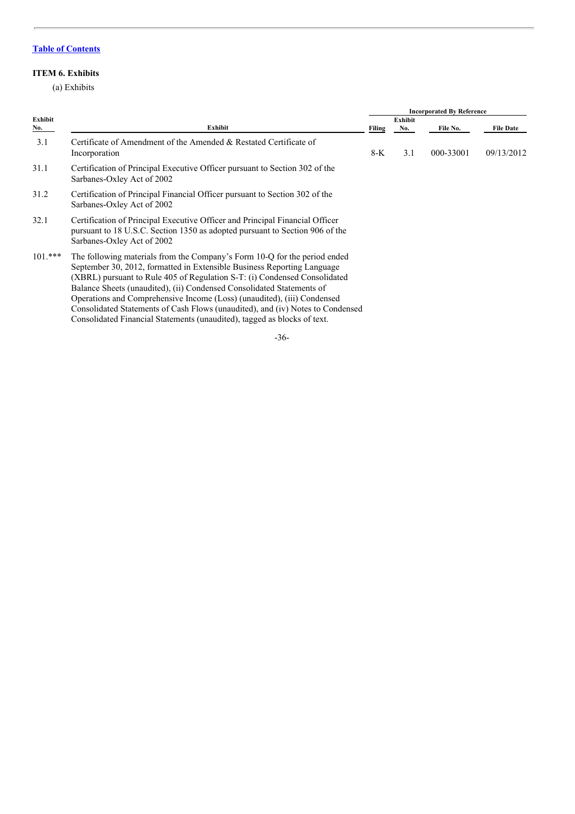# **ITEM 6. Exhibits**

(a) Exhibits

| Exhibit<br><u>No.</u> |                                                                                                                                                                                                                                                                                                                                                                                                                                                                                                                                                     |               | <b>Incorporated By Reference</b> |           |                  |  |
|-----------------------|-----------------------------------------------------------------------------------------------------------------------------------------------------------------------------------------------------------------------------------------------------------------------------------------------------------------------------------------------------------------------------------------------------------------------------------------------------------------------------------------------------------------------------------------------------|---------------|----------------------------------|-----------|------------------|--|
|                       | <b>Exhibit</b>                                                                                                                                                                                                                                                                                                                                                                                                                                                                                                                                      | <b>Filing</b> | <b>Exhibit</b><br>No.            | File No.  | <b>File Date</b> |  |
| 3.1                   | Certificate of Amendment of the Amended & Restated Certificate of<br>Incorporation                                                                                                                                                                                                                                                                                                                                                                                                                                                                  | $8-K$         | 3.1                              | 000-33001 | 09/13/2012       |  |
| 31.1                  | Certification of Principal Executive Officer pursuant to Section 302 of the<br>Sarbanes-Oxley Act of 2002                                                                                                                                                                                                                                                                                                                                                                                                                                           |               |                                  |           |                  |  |
| 31.2                  | Certification of Principal Financial Officer pursuant to Section 302 of the<br>Sarbanes-Oxley Act of 2002                                                                                                                                                                                                                                                                                                                                                                                                                                           |               |                                  |           |                  |  |
| 32.1                  | Certification of Principal Executive Officer and Principal Financial Officer<br>pursuant to 18 U.S.C. Section 1350 as adopted pursuant to Section 906 of the<br>Sarbanes-Oxley Act of 2002                                                                                                                                                                                                                                                                                                                                                          |               |                                  |           |                  |  |
| $101.***$             | The following materials from the Company's Form 10-Q for the period ended<br>September 30, 2012, formatted in Extensible Business Reporting Language<br>(XBRL) pursuant to Rule 405 of Regulation S-T: (i) Condensed Consolidated<br>Balance Sheets (unaudited), (ii) Condensed Consolidated Statements of<br>Operations and Comprehensive Income (Loss) (unaudited), (iii) Condensed<br>Consolidated Statements of Cash Flows (unaudited), and (iv) Notes to Condensed<br>Consolidated Financial Statements (unaudited), tagged as blocks of text. |               |                                  |           |                  |  |

-36-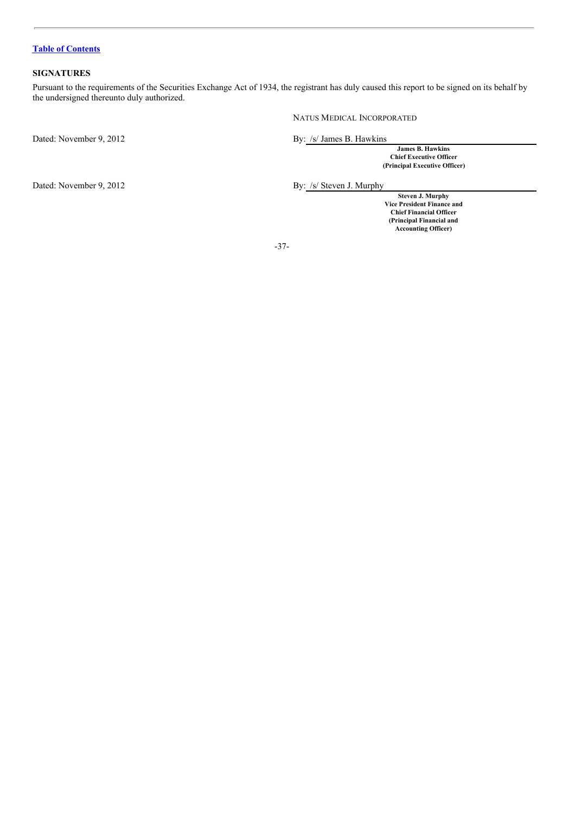# **SIGNATURES**

Pursuant to the requirements of the Securities Exchange Act of 1934, the registrant has duly caused this report to be signed on its behalf by the undersigned thereunto duly authorized.

NATUS MEDICAL INCORPORATED

Dated: November 9, 2012 By: /s/ James B. Hawkins

**James B. Hawkins Chief Executive Officer (Principal Executive Officer)**

Dated: November 9, 2012 By: /s/ Steven J. Murphy

**Steven J. Murphy Vice President Finance and Chief Financial Officer (Principal Financial and Accounting Officer)**

-37-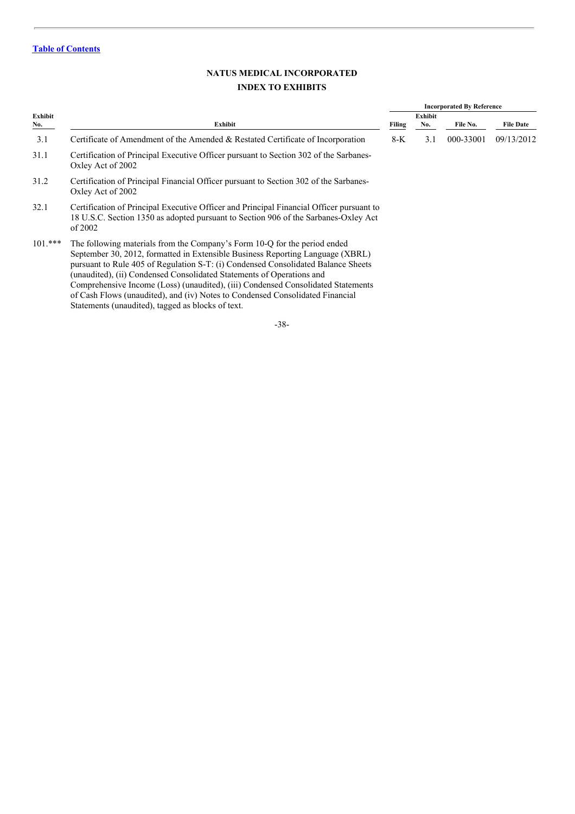# **NATUS MEDICAL INCORPORATED INDEX TO EXHIBITS**

|                |                                                                                                                                                                                                                                                                                                                                                                                                                                                                                                                                                     |        | <b>Incorporated By Reference</b> |           |                  |  |
|----------------|-----------------------------------------------------------------------------------------------------------------------------------------------------------------------------------------------------------------------------------------------------------------------------------------------------------------------------------------------------------------------------------------------------------------------------------------------------------------------------------------------------------------------------------------------------|--------|----------------------------------|-----------|------------------|--|
| Exhibit<br>No. | <b>Exhibit</b>                                                                                                                                                                                                                                                                                                                                                                                                                                                                                                                                      | Filing | <b>Exhibit</b><br>No.            | File No.  | <b>File Date</b> |  |
| 3.1            | Certificate of Amendment of the Amended & Restated Certificate of Incorporation                                                                                                                                                                                                                                                                                                                                                                                                                                                                     | $8-K$  | 3.1                              | 000-33001 | 09/13/2012       |  |
| 31.1           | Certification of Principal Executive Officer pursuant to Section 302 of the Sarbanes-<br>Oxley Act of 2002                                                                                                                                                                                                                                                                                                                                                                                                                                          |        |                                  |           |                  |  |
| 31.2           | Certification of Principal Financial Officer pursuant to Section 302 of the Sarbanes-<br>Oxley Act of 2002                                                                                                                                                                                                                                                                                                                                                                                                                                          |        |                                  |           |                  |  |
| 32.1           | Certification of Principal Executive Officer and Principal Financial Officer pursuant to<br>18 U.S.C. Section 1350 as adopted pursuant to Section 906 of the Sarbanes-Oxley Act<br>of 2002                                                                                                                                                                                                                                                                                                                                                          |        |                                  |           |                  |  |
| $101.***$      | The following materials from the Company's Form 10-Q for the period ended<br>September 30, 2012, formatted in Extensible Business Reporting Language (XBRL)<br>pursuant to Rule 405 of Regulation S-T: (i) Condensed Consolidated Balance Sheets<br>(unaudited), (ii) Condensed Consolidated Statements of Operations and<br>Comprehensive Income (Loss) (unaudited), (iii) Condensed Consolidated Statements<br>of Cash Flows (unaudited), and (iv) Notes to Condensed Consolidated Financial<br>Statements (unaudited), tagged as blocks of text. |        |                                  |           |                  |  |

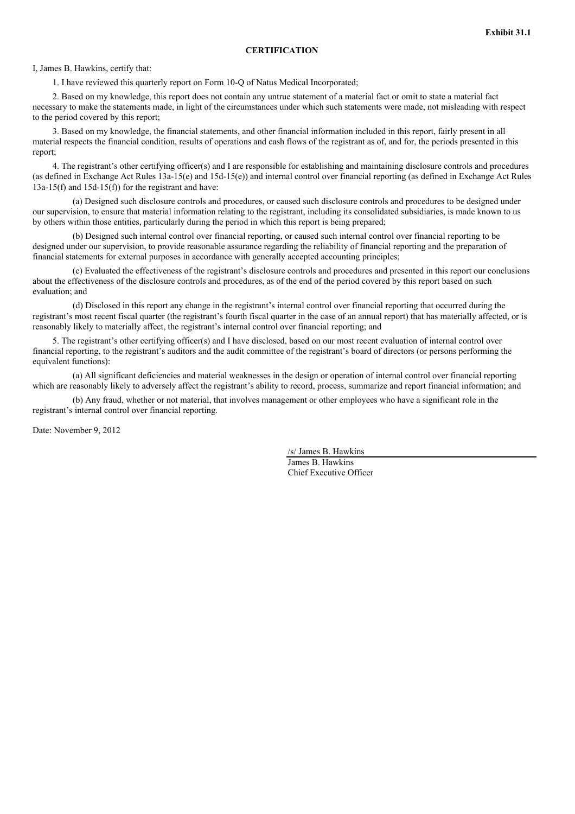### **CERTIFICATION**

#### I, James B. Hawkins, certify that:

1. I have reviewed this quarterly report on Form 10-Q of Natus Medical Incorporated;

2. Based on my knowledge, this report does not contain any untrue statement of a material fact or omit to state a material fact necessary to make the statements made, in light of the circumstances under which such statements were made, not misleading with respect to the period covered by this report;

3. Based on my knowledge, the financial statements, and other financial information included in this report, fairly present in all material respects the financial condition, results of operations and cash flows of the registrant as of, and for, the periods presented in this report;

4. The registrant's other certifying officer(s) and I are responsible for establishing and maintaining disclosure controls and procedures (as defined in Exchange Act Rules 13a-15(e) and 15d-15(e)) and internal control over financial reporting (as defined in Exchange Act Rules 13a-15(f) and 15d-15(f)) for the registrant and have:

(a) Designed such disclosure controls and procedures, or caused such disclosure controls and procedures to be designed under our supervision, to ensure that material information relating to the registrant, including its consolidated subsidiaries, is made known to us by others within those entities, particularly during the period in which this report is being prepared;

(b) Designed such internal control over financial reporting, or caused such internal control over financial reporting to be designed under our supervision, to provide reasonable assurance regarding the reliability of financial reporting and the preparation of financial statements for external purposes in accordance with generally accepted accounting principles;

(c) Evaluated the effectiveness of the registrant's disclosure controls and procedures and presented in this report our conclusions about the effectiveness of the disclosure controls and procedures, as of the end of the period covered by this report based on such evaluation; and

(d) Disclosed in this report any change in the registrant's internal control over financial reporting that occurred during the registrant's most recent fiscal quarter (the registrant's fourth fiscal quarter in the case of an annual report) that has materially affected, or is reasonably likely to materially affect, the registrant's internal control over financial reporting; and

5. The registrant's other certifying officer(s) and I have disclosed, based on our most recent evaluation of internal control over financial reporting, to the registrant's auditors and the audit committee of the registrant's board of directors (or persons performing the equivalent functions):

(a) All significant deficiencies and material weaknesses in the design or operation of internal control over financial reporting which are reasonably likely to adversely affect the registrant's ability to record, process, summarize and report financial information; and

(b) Any fraud, whether or not material, that involves management or other employees who have a significant role in the registrant's internal control over financial reporting.

Date: November 9, 2012

/s/ James B. Hawkins James B. Hawkins Chief Executive Officer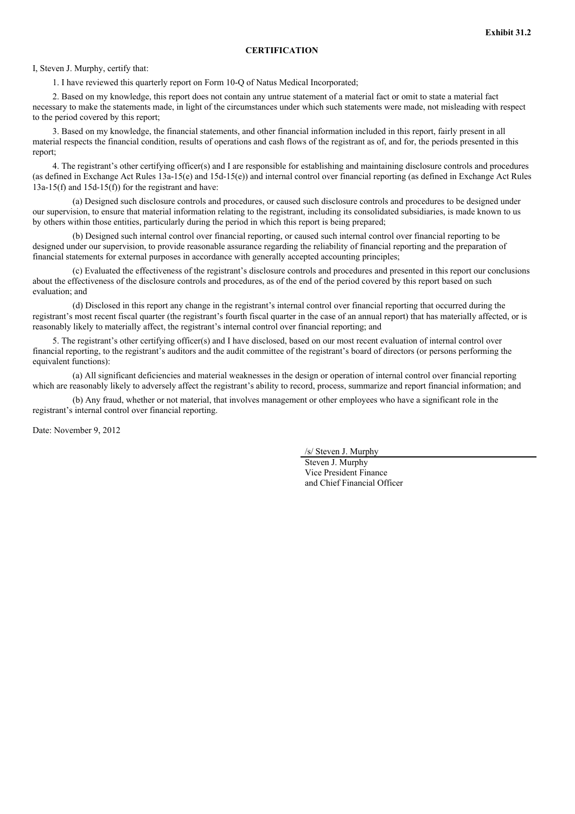### **CERTIFICATION**

### I, Steven J. Murphy, certify that:

1. I have reviewed this quarterly report on Form 10-Q of Natus Medical Incorporated;

2. Based on my knowledge, this report does not contain any untrue statement of a material fact or omit to state a material fact necessary to make the statements made, in light of the circumstances under which such statements were made, not misleading with respect to the period covered by this report;

3. Based on my knowledge, the financial statements, and other financial information included in this report, fairly present in all material respects the financial condition, results of operations and cash flows of the registrant as of, and for, the periods presented in this report;

4. The registrant's other certifying officer(s) and I are responsible for establishing and maintaining disclosure controls and procedures (as defined in Exchange Act Rules 13a-15(e) and 15d-15(e)) and internal control over financial reporting (as defined in Exchange Act Rules 13a-15(f) and 15d-15(f)) for the registrant and have:

(a) Designed such disclosure controls and procedures, or caused such disclosure controls and procedures to be designed under our supervision, to ensure that material information relating to the registrant, including its consolidated subsidiaries, is made known to us by others within those entities, particularly during the period in which this report is being prepared;

(b) Designed such internal control over financial reporting, or caused such internal control over financial reporting to be designed under our supervision, to provide reasonable assurance regarding the reliability of financial reporting and the preparation of financial statements for external purposes in accordance with generally accepted accounting principles;

(c) Evaluated the effectiveness of the registrant's disclosure controls and procedures and presented in this report our conclusions about the effectiveness of the disclosure controls and procedures, as of the end of the period covered by this report based on such evaluation; and

(d) Disclosed in this report any change in the registrant's internal control over financial reporting that occurred during the registrant's most recent fiscal quarter (the registrant's fourth fiscal quarter in the case of an annual report) that has materially affected, or is reasonably likely to materially affect, the registrant's internal control over financial reporting; and

5. The registrant's other certifying officer(s) and I have disclosed, based on our most recent evaluation of internal control over financial reporting, to the registrant's auditors and the audit committee of the registrant's board of directors (or persons performing the equivalent functions):

(a) All significant deficiencies and material weaknesses in the design or operation of internal control over financial reporting which are reasonably likely to adversely affect the registrant's ability to record, process, summarize and report financial information; and

(b) Any fraud, whether or not material, that involves management or other employees who have a significant role in the registrant's internal control over financial reporting.

Date: November 9, 2012

/s/ Steven J. Murphy

Steven J. Murphy Vice President Finance and Chief Financial Officer